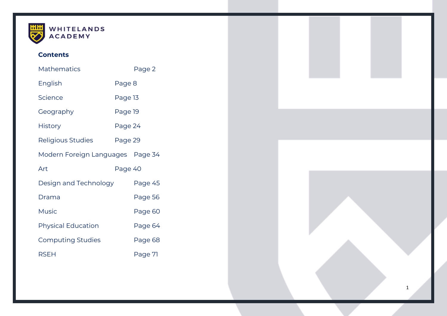

### **Contents**

| Mathematics                      |         | Page 2  |  |  |
|----------------------------------|---------|---------|--|--|
| English                          | Page 8  |         |  |  |
| <b>Science</b>                   | Page 13 |         |  |  |
| Geography                        | Page 19 |         |  |  |
| <b>History</b>                   | Page 24 |         |  |  |
| Religious Studies                | Page 29 |         |  |  |
| Modern Foreign Languages Page 34 |         |         |  |  |
| Art                              | Page 40 |         |  |  |
| Design and Technology            |         | Page 45 |  |  |
| Drama                            |         | Page 56 |  |  |
| <b>Music</b>                     |         | Page 60 |  |  |
| <b>Physical Education</b>        |         | Page 64 |  |  |
| <b>Computing Studies</b>         |         | Page 68 |  |  |
| RSEH                             |         |         |  |  |

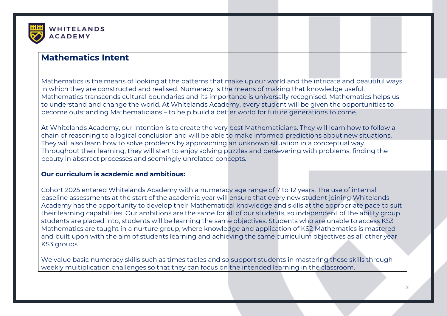

# **Mathematics Intent**

Mathematics is the means of looking at the patterns that make up our world and the intricate and beautiful ways in which they are constructed and realised. Numeracy is the means of making that knowledge useful. Mathematics transcends cultural boundaries and its importance is universally recognised. Mathematics helps us to understand and change the world. At Whitelands Academy, every student will be given the opportunities to become outstanding Mathematicians – to help build a better world for future generations to come.

At Whitelands Academy, our intention is to create the very best Mathematicians. They will learn how to follow a chain of reasoning to a logical conclusion and will be able to make informed predictions about new situations. They will also learn how to solve problems by approaching an unknown situation in a conceptual way. Throughout their learning, they will start to enjoy solving puzzles and persevering with problems; finding the beauty in abstract processes and seemingly unrelated concepts.

### **Our curriculum is academic and ambitious:**

Cohort 2025 entered Whitelands Academy with a numeracy age range of 7 to 12 years. The use of internal baseline assessments at the start of the academic year will ensure that every new student joining Whitelands Academy has the opportunity to develop their Mathematical knowledge and skills at the appropriate pace to suit their learning capabilities. Our ambitions are the same for all of our students, so independent of the ability group students are placed into, students will be learning the same objectives. Students who are unable to access KS3 Mathematics are taught in a nurture group, where knowledge and application of KS2 Mathematics is mastered and built upon with the aim of students learning and achieving the same curriculum objectives as all other year KS3 groups.

We value basic numeracy skills such as times tables and so support students in mastering these skills through weekly multiplication challenges so that they can focus on the intended learning in the classroom.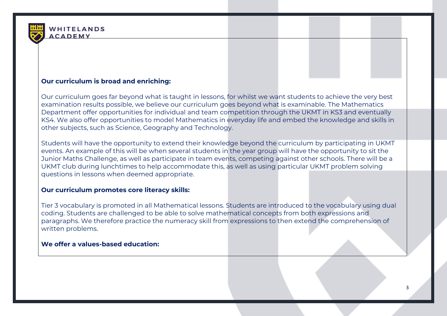

### **Our curriculum is broad and enriching:**

Our curriculum goes far beyond what is taught in lessons, for whilst we want students to achieve the very best examination results possible, we believe our curriculum goes beyond what is examinable. The Mathematics Department offer opportunities for individual and team competition through the UKMT in KS3 and eventually KS4. We also offer opportunities to model Mathematics in everyday life and embed the knowledge and skills in other subjects, such as Science, Geography and Technology.

Students will have the opportunity to extend their knowledge beyond the curriculum by participating in UKMT events. An example of this will be when several students in the year group will have the opportunity to sit the Junior Maths Challenge, as well as participate in team events, competing against other schools. There will be a UKMT club during lunchtimes to help accommodate this, as well as using particular UKMT problem solving questions in lessons when deemed appropriate.

### **Our curriculum promotes core literacy skills:**

Tier 3 vocabulary is promoted in all Mathematical lessons. Students are introduced to the vocabulary using dual coding. Students are challenged to be able to solve mathematical concepts from both expressions and paragraphs. We therefore practice the numeracy skill from expressions to then extend the comprehension of written problems.

### **We offer a values-based education:**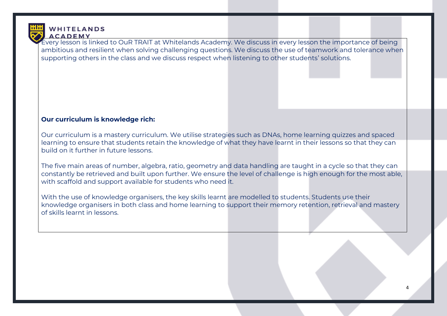

Every lesson is linked to OuR TRAIT at Whitelands Academy. We discuss in every lesson the importance of being ambitious and resilient when solving challenging questions. We discuss the use of teamwork and tolerance when supporting others in the class and we discuss respect when listening to other students' solutions.

# **Our curriculum is knowledge rich:**

Our curriculum is a mastery curriculum. We utilise strategies such as DNAs, home learning quizzes and spaced learning to ensure that students retain the knowledge of what they have learnt in their lessons so that they can build on it further in future lessons.

The five main areas of number, algebra, ratio, geometry and data handling are taught in a cycle so that they can constantly be retrieved and built upon further. We ensure the level of challenge is high enough for the most able, with scaffold and support available for students who need it.

With the use of knowledge organisers, the key skills learnt are modelled to students. Students use their knowledge organisers in both class and home learning to support their memory retention, retrieval and mastery of skills learnt in lessons.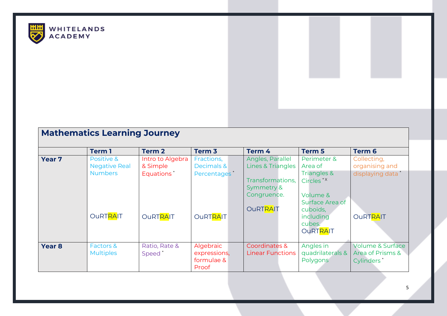

# **Mathematics Learning Journey**

|               | <b>Term1</b>                                         | Term 2                                                 | Term <sub>3</sub>                                    | Term 4                                                                                                    | Term 5                                                                                                    | <b>Term 6</b>                                                             |
|---------------|------------------------------------------------------|--------------------------------------------------------|------------------------------------------------------|-----------------------------------------------------------------------------------------------------------|-----------------------------------------------------------------------------------------------------------|---------------------------------------------------------------------------|
| <b>Year 7</b> | Positive &<br><b>Negative Real</b><br><b>Numbers</b> | Intro to Algebra<br>& Simple<br>Equations <sup>*</sup> | Fractions,<br>Decimals &<br>Percentages <sup>*</sup> | Angles, Parallel<br>Lines & Triangles<br>Transformations,<br>Symmetry &<br>Congruence.<br><b>OURTRAIT</b> | Perimeter &<br>Area of<br>Triangles &<br>Circles <sup>*X</sup><br>Volume &<br>Surface Area of<br>cuboids, | Collecting,<br>organising and<br>displaying data*                         |
|               | <b>OURTRAIT</b>                                      | <b>OURTRAIT</b>                                        | <b>OURTRAIT</b>                                      |                                                                                                           | including<br>cubes.<br><b>OURTRAIT</b>                                                                    | <b>OURTRAIT</b>                                                           |
| <b>Year 8</b> | Factors &<br><b>Multiples</b>                        | Ratio, Rate &<br>Speed <sup>*</sup>                    | Algebraic<br>expressions,<br>formulae &<br>Proof     | <b>Coordinates &amp;</b><br><b>Linear Functions</b>                                                       | Angles in<br>quadrilaterals &<br>Polygons                                                                 | <b>Volume &amp; Surface</b><br>Area of Prisms &<br>Cylinders <sup>*</sup> |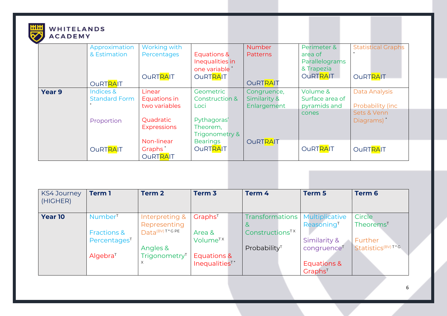

|               | Approximation<br>& Estimation<br><b>OURTRAIT</b> | Working with<br>Percentages<br><b>OURTRAIT</b>       | Equations &<br>Inequalities in<br>one variable *<br><b>OURTRAIT</b> | Number<br><b>Patterns</b><br><b>OURTRAIT</b> | Perimeter &<br>area of<br>Parallelograms<br>& Trapezia<br><b>OURTRAIT</b> | <b>Statistical Graphs</b><br><b>OURTRAIT</b> |
|---------------|--------------------------------------------------|------------------------------------------------------|---------------------------------------------------------------------|----------------------------------------------|---------------------------------------------------------------------------|----------------------------------------------|
| <b>Year 9</b> | Indices &<br><b>Standard Form</b>                | Linear<br>Equations in<br>two variables              | Geometric<br><b>Construction &amp;</b><br>Loci                      | Congruence,<br>Similarity &<br>Enlargement   | Volume &<br>Surface area of<br>pyramids and                               | Data Analysis<br>Probability (inc.           |
|               | Proportion                                       | Quadratic<br><b>Expressions</b>                      | Pythagoras'<br>Theorem,<br>Trigonometry &                           |                                              | cones                                                                     | Sets & Venn<br>Diagrams)                     |
|               | <b>OURTRAIT</b>                                  | Non-linear<br>Graphs <sup>*</sup><br><b>OURTRAIT</b> | <b>Bearings</b><br><b>OURTRAIT</b>                                  | <b>OURTRAIT</b>                              | <b>OURTRAIT</b>                                                           | <b>OuRTRAIT</b>                              |

| <b>KS4 Journey</b><br>(HIGHER) | <b>Term 1</b>            | <b>Term 2</b>              | Term <sub>3</sub>         | Term 4                      | Term 5                  | Term 6                        |
|--------------------------------|--------------------------|----------------------------|---------------------------|-----------------------------|-------------------------|-------------------------------|
| Year 10                        | Number <sup>T</sup>      | Interpreting &             | Graphs <sup>T</sup>       | <b>Transformations</b>      | Multiplicative          | Circle                        |
|                                |                          | Representing               |                           | &                           | Reasoning <sup>T</sup>  | Theorems <sup>T</sup>         |
|                                | <b>Fractions &amp;</b>   | Data <sup>(BV)</sup> T*GPE | Area &                    | Constructions <sup>TX</sup> |                         |                               |
|                                | Percentages <sup>T</sup> |                            | Volume <sup>TX</sup>      |                             | Similarity &            | Further                       |
|                                |                          | Angles &                   |                           | Probability <sup>T</sup>    | congruence <sup>T</sup> | Statistics <sup>(BV)T*G</sup> |
|                                | Algebra <sup>T</sup>     | Trigonometry <sup>T</sup>  | Equations &               |                             |                         |                               |
|                                |                          | $\times$                   | Inequalities <sup>™</sup> |                             | Equations &             |                               |
|                                |                          |                            |                           |                             | Graphs <sup>T</sup>     |                               |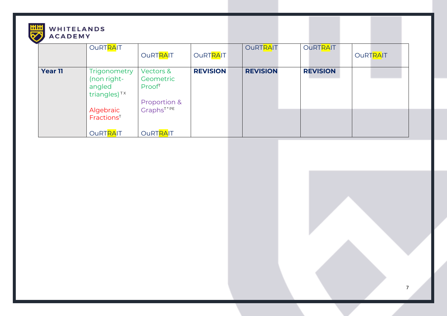

|                | <b>OURTRAIT</b>                                                          | <b>OuRTRAIT</b>                                 | OuRTRAIT        | <b>OURTRAIT</b> | <b>OURTRAIT</b> | <b>OURTRAIT</b> |
|----------------|--------------------------------------------------------------------------|-------------------------------------------------|-----------------|-----------------|-----------------|-----------------|
| <b>Year 11</b> | <b>Trigonometry</b><br>(non right-<br>angled<br>triangles) <sup>TX</sup> | Vectors &<br>Geometric<br>Proof<br>Proportion & | <b>REVISION</b> | <b>REVISION</b> | <b>REVISION</b> |                 |
|                | Algebraic<br>Fractions <sup>T</sup><br><b>OURTRAIT</b>                   | Graphs <sup>T*PE</sup><br><b>OURTRAIT</b>       |                 |                 |                 |                 |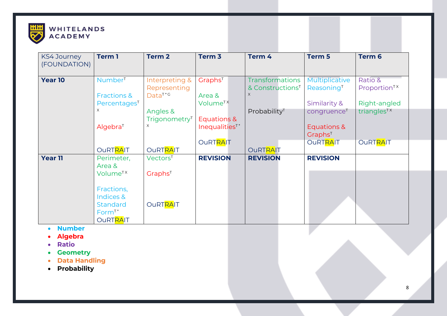

| <b>KS4 Journey</b> | <b>Term 1</b>                 | <b>Term 2</b>             | Term <sub>3</sub>         | Term 4                       | Term 5                                  | Term 6                                  |
|--------------------|-------------------------------|---------------------------|---------------------------|------------------------------|-----------------------------------------|-----------------------------------------|
| (FOUNDATION)       |                               |                           |                           |                              |                                         |                                         |
| <b>Year 10</b>     | Number <sup>T</sup>           | Interpreting &            | <b>Graphs<sup>T</sup></b> | <b>Transformations</b>       | Multiplicative                          | Ratio &                                 |
|                    |                               | Representing              |                           | & Constructions <sup>T</sup> | Reasoning <sup>T</sup>                  | Proportion <sup>TX</sup>                |
|                    | <b>Fractions &amp;</b>        | Data <sup>T*G</sup>       | Area &                    | X                            |                                         |                                         |
|                    | Percentages <sup>T</sup><br>X | Angles &                  | Volume <sup>TX</sup>      | Probability <sup>T</sup>     | Similarity &<br>congruence <sup>T</sup> | Right-angled<br>triangles <sup>TX</sup> |
|                    |                               | Trigonometry <sup>T</sup> | Equations &               |                              |                                         |                                         |
|                    | Algebra <sup>T</sup>          | X                         | Inequalities <sup>™</sup> |                              | <b>Equations &amp;</b>                  |                                         |
|                    |                               |                           |                           |                              | Graphs <sup>T</sup>                     |                                         |
|                    |                               |                           | <b>OURTRAIT</b>           |                              | <b>OURTRAIT</b>                         | <b>OURTRAIT</b>                         |
|                    | <b>OURTRAIT</b>               | <b>OURTRAIT</b>           |                           | <b>OURTRAIT</b>              |                                         |                                         |
| <b>Year 11</b>     | Perimeter,                    | Vectors <sup>T</sup>      | <b>REVISION</b>           | <b>REVISION</b>              | <b>REVISION</b>                         |                                         |
|                    | Area &                        |                           |                           |                              |                                         |                                         |
|                    | Volume <sup>TX</sup>          | Graphs <sup>T</sup>       |                           |                              |                                         |                                         |
|                    | Fractions,                    |                           |                           |                              |                                         |                                         |
|                    | Indices &                     |                           |                           |                              |                                         |                                         |
|                    | <b>Standard</b>               | <b>OURTRAIT</b>           |                           |                              |                                         |                                         |
|                    | Form <sup>T*</sup>            |                           |                           |                              |                                         |                                         |
|                    | <b>OURTRAIT</b>               |                           |                           |                              |                                         |                                         |

- **Number**
- **Algebra**
- **Ratio**
- **Geometry**
- **Data Handling**
- **Probability**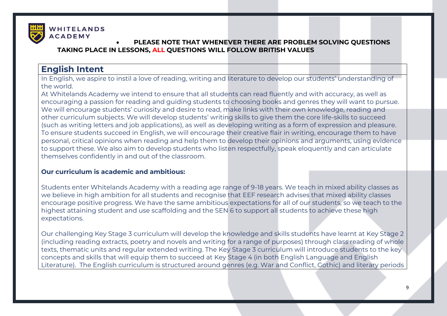

## • **PLEASE NOTE THAT WHENEVER THERE ARE PROBLEM SOLVING QUESTIONS TAKING PLACE IN LESSONS, ALL QUESTIONS WILL FOLLOW BRITISH VALUES**

# **English Intent**

In English, we aspire to instil a love of reading, writing and literature to develop our students' understanding of the world.

At Whitelands Academy we intend to ensure that all students can read fluently and with accuracy, as well as encouraging a passion for reading and guiding students to choosing books and genres they will want to pursue. We will encourage students' curiosity and desire to read, make links with their own knowledge, reading and other curriculum subjects. We will develop students' writing skills to give them the core life-skills to succeed (such as writing letters and job applications), as well as developing writing as a form of expression and pleasure. To ensure students succeed in English, we will encourage their creative flair in writing, encourage them to have personal, critical opinions when reading and help them to develop their opinions and arguments, using evidence to support these. We also aim to develop students who listen respectfully, speak eloquently and can articulate themselves confidently in and out of the classroom.

### **Our curriculum is academic and ambitious:**

Students enter Whitelands Academy with a reading age range of 9-18 years. We teach in mixed ability classes as we believe in high ambition for all students and recognise that EEF research advises that mixed ability classes encourage positive progress. We have the same ambitious expectations for all of our students, so we teach to the highest attaining student and use scaffolding and the SEN 6 to support all students to achieve these high expectations.

Our challenging Key Stage 3 curriculum will develop the knowledge and skills students have learnt at Key Stage 2 (including reading extracts, poetry and novels and writing for a range of purposes) through class reading of whole texts, thematic units and regular extended writing. The Key Stage 3 curriculum will introduce students to the key concepts and skills that will equip them to succeed at Key Stage 4 (in both English Language and English Literature). The English curriculum is structured around genres (e.g. War and Conflict, Gothic) and literary periods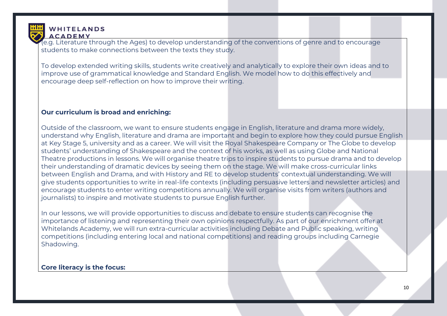

(e.g. Literature through the Ages) to develop understanding of the conventions of genre and to encourage students to make connections between the texts they study.

To develop extended writing skills, students write creatively and analytically to explore their own ideas and to improve use of grammatical knowledge and Standard English. We model how to do this effectively and encourage deep self-reflection on how to improve their writing.

### **Our curriculum is broad and enriching:**

Outside of the classroom, we want to ensure students engage in English, literature and drama more widely, understand why English, literature and drama are important and begin to explore how they could pursue English at Key Stage 5, university and as a career. We will visit the Royal Shakespeare Company or The Globe to develop students' understanding of Shakespeare and the context of his works, as well as using Globe and National Theatre productions in lessons. We will organise theatre trips to inspire students to pursue drama and to develop their understanding of dramatic devices by seeing them on the stage. We will make cross-curricular links between English and Drama, and with History and RE to develop students' contextual understanding. We will give students opportunities to write in real-life contexts (including persuasive letters and newsletter articles) and encourage students to enter writing competitions annually. We will organise visits from writers (authors and journalists) to inspire and motivate students to pursue English further.

In our lessons, we will provide opportunities to discuss and debate to ensure students can recognise the importance of listening and representing their own opinions respectfully. As part of our enrichment offer at Whitelands Academy, we will run extra-curricular activities including Debate and Public speaking, writing competitions (including entering local and national competitions) and reading groups including Carnegie Shadowing.

### **Core literacy is the focus:**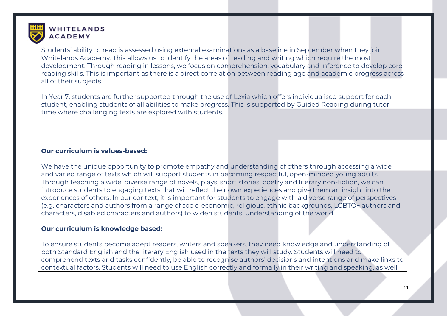

Students' ability to read is assessed using external examinations as a baseline in September when they join Whitelands Academy. This allows us to identify the areas of reading and writing which require the most development. Through reading in lessons, we focus on comprehension, vocabulary and inference to develop core reading skills. This is important as there is a direct correlation between reading age and academic progress across all of their subjects.

In Year 7, students are further supported through the use of Lexia which offers individualised support for each student, enabling students of all abilities to make progress. This is supported by Guided Reading during tutor time where challenging texts are explored with students.

### **Our curriculum is values-based:**

We have the unique opportunity to promote empathy and understanding of others through accessing a wide and varied range of texts which will support students in becoming respectful, open-minded young adults. Through teaching a wide, diverse range of novels, plays, short stories, poetry and literary non-fiction, we can introduce students to engaging texts that will reflect their own experiences and give them an insight into the experiences of others. In our context, it is important for students to engage with a diverse range of perspectives (e.g. characters and authors from a range of socio-economic, religious, ethnic backgrounds, LGBTQ+ authors and characters, disabled characters and authors) to widen students' understanding of the world.

### **Our curriculum is knowledge based:**

To ensure students become adept readers, writers and speakers, they need knowledge and understanding of both Standard English and the literary English used in the texts they will study. Students will need to comprehend texts and tasks confidently, be able to recognise authors' decisions and intentions and make links to contextual factors. Students will need to use English correctly and formally in their writing and speaking, as well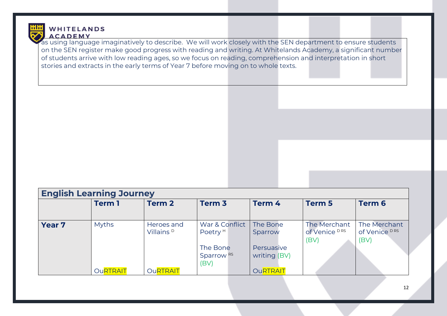

as using language imaginatively to describe. We will work closely with the SEN department to ensure students on the SEN register make good progress with reading and writing. At Whitelands Academy, a significant number of students arrive with low reading ages, so we focus on reading, comprehension and interpretation in short stories and extracts in the early terms of Year 7 before moving on to whole texts.

|               | <b>English Learning Journey</b> |                                     |                                           |                            |                                       |                                       |
|---------------|---------------------------------|-------------------------------------|-------------------------------------------|----------------------------|---------------------------------------|---------------------------------------|
|               | <b>Term 1</b>                   | <b>Term 2</b>                       | Term <sub>3</sub>                         | Term 4                     | Term <sub>5</sub>                     | Term 6                                |
|               |                                 |                                     |                                           |                            |                                       |                                       |
| <b>Year 7</b> | <b>Myths</b>                    | Heroes and<br>Villains <sup>D</sup> | War & Conflict<br>Poetry <sup>H</sup>     | The Bone<br>Sparrow        | The Merchant<br>of Venice DRS<br>(BV) | The Merchant<br>of Venice DRS<br>(BV) |
|               |                                 |                                     | The Bone<br>Sparrow <sup>RS</sup><br>(BV) | Persuasive<br>writing (BV) |                                       |                                       |
|               | <b>OuRTRAIT</b>                 | <b>OuRTRAIT</b>                     |                                           | <b>OURTRAIT</b>            |                                       |                                       |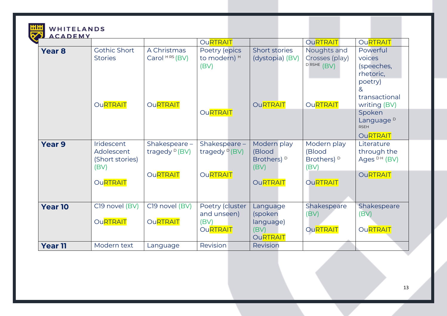| WHITELANDS |
|------------|
|            |

| <i><b>INCADEM</b></i> |                                                            |                                   | <b>OuRTRAIT</b>                                    |                                                             | <b>OuRTRAIT</b>                                         | <b>OuRTRAIT</b>                                                                                          |
|-----------------------|------------------------------------------------------------|-----------------------------------|----------------------------------------------------|-------------------------------------------------------------|---------------------------------------------------------|----------------------------------------------------------------------------------------------------------|
| <b>Year 8</b>         | <b>Gothic Short</b><br><b>Stories</b>                      | A Christmas<br>Carol $HRS(BV)$    | Poetry (epics<br>to modern) <sup>H</sup><br>(BV)   | Short stories<br>(dystopia) (BV)                            | Noughts and<br>Crosses (play)<br>D RSHE (BV)            | Powerful<br>voices<br>(speeches,<br>rhetoric,<br>poetry)<br>$\mathcal{R}_{\mathcal{L}}$<br>transactional |
|                       | <b>OuRTRAIT</b>                                            | <b>OuRTRAIT</b>                   | <b>OURTRAIT</b>                                    | <b>OuRTRAIT</b>                                             | <b>OURTRAIT</b>                                         | writing (BV)<br>Spoken<br>Language <sup>D</sup><br><b>RSEH</b><br><b>OuRTRAIT</b>                        |
| <b>Year 9</b>         | <b>Iridescent</b><br>Adolescent<br>(Short stories)<br>(BV) | Shakespeare-<br>tragedy $D(BV)$   | Shakespeare -<br>tragedy $P(BV)$                   | Modern play<br>(Blood<br>Brothers) <sup>D</sup><br>(BV)     | Modern play<br>(Blood<br>Brothers) <sup>D</sup><br>(BV) | Literature<br>through the<br>Ages <sup>DH</sup> (BV)                                                     |
|                       | <b>OURTRAIT</b>                                            | <b>OuRTRAIT</b>                   | <b>OURTRAIT</b>                                    | <b>OURTRAIT</b>                                             | <b>OuRTRAIT</b>                                         | <b>OURTRAIT</b>                                                                                          |
| <b>Year 10</b>        | C19 novel (BV)<br><b>OuRTRAIT</b>                          | C19 novel (BV)<br><b>OuRTRAIT</b> | Poetry (cluster<br>and unseen)<br>(BV)<br>OuRTRAIT | Language<br>(spoken<br>language)<br>(BV)<br><b>OURTRAIT</b> | Shakespeare<br>(BV)<br><b>OuRTRAIT</b>                  | Shakespeare<br>(BV)<br><b>OuRTRAIT</b>                                                                   |
| <b>Year 11</b>        | Modern text                                                | Language                          | Revision                                           | Revision                                                    |                                                         |                                                                                                          |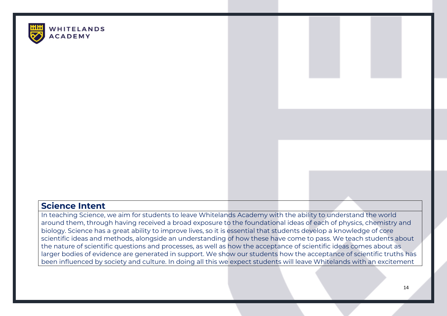

# **Science Intent**

In teaching Science, we aim for students to leave Whitelands Academy with the ability to understand the world around them, through having received a broad exposure to the foundational ideas of each of physics, chemistry and biology. Science has a great ability to improve lives, so it is essential that students develop a knowledge of core scientific ideas and methods, alongside an understanding of how these have come to pass. We teach students about the nature of scientific questions and processes, as well as how the acceptance of scientific ideas comes about as larger bodies of evidence are generated in support. We show our students how the acceptance of scientific truths has been influenced by society and culture. In doing all this we expect students will leave Whitelands with an excitement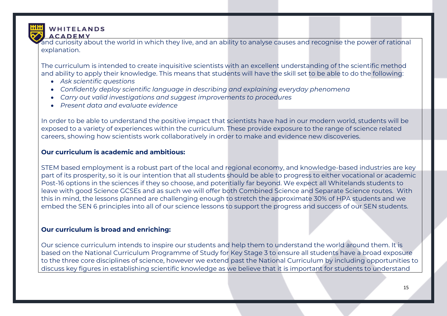

and curiosity about the world in which they live, and an ability to analyse causes and recognise the power of rational explanation.

The curriculum is intended to create inquisitive scientists with an excellent understanding of the scientific method and ability to apply their knowledge. This means that students will have the skill set to be able to do the following:

- *Ask scientific questions*
- *Confidently deploy scientific language in describing and explaining everyday phenomena*
- *Carry out valid investigations and suggest improvements to procedures*
- *Present data and evaluate evidence*

In order to be able to understand the positive impact that scientists have had in our modern world, students will be exposed to a variety of experiences within the curriculum. These provide exposure to the range of science related careers, showing how scientists work collaboratively in order to make and evidence new discoveries.

### **Our curriculum is academic and ambitious:**

STEM based employment is a robust part of the local and regional economy, and knowledge-based industries are key part of its prosperity, so it is our intention that all students should be able to progress to either vocational or academic Post-16 options in the sciences if they so choose, and potentially far beyond. We expect all Whitelands students to leave with good Science GCSEs and as such we will offer both Combined Science and Separate Science routes. With this in mind, the lessons planned are challenging enough to stretch the approximate 30% of HPA students and we embed the SEN 6 principles into all of our science lessons to support the progress and success of our SEN students.

### **Our curriculum is broad and enriching:**

Our science curriculum intends to inspire our students and help them to understand the world around them. It is based on the National Curriculum Programme of Study for Key Stage 3 to ensure all students have a broad exposure to the three core disciplines of science, however we extend past the National Curriculum by including opportunities to discuss key figures in establishing scientific knowledge as we believe that it is important for students to understand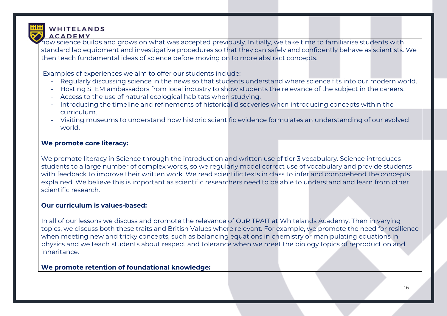

how science builds and grows on what was accepted previously. Initially, we take time to familiarise students with standard lab equipment and investigative procedures so that they can safely and confidently behave as scientists. We then teach fundamental ideas of science before moving on to more abstract concepts.

Examples of experiences we aim to offer our students include:

- Regularly discussing science in the news so that students understand where science fits into our modern world.
- Hosting STEM ambassadors from local industry to show students the relevance of the subject in the careers.
- Access to the use of natural ecological habitats when studying.
- Introducing the timeline and refinements of historical discoveries when introducing concepts within the curriculum.
- Visiting museums to understand how historic scientific evidence formulates an understanding of our evolved world.

### **We promote core literacy:**

We promote literacy in Science through the introduction and written use of tier 3 vocabulary. Science introduces students to a large number of complex words, so we regularly model correct use of vocabulary and provide students with feedback to improve their written work. We read scientific texts in class to infer and comprehend the concepts explained. We believe this is important as scientific researchers need to be able to understand and learn from other scientific research.

## **Our curriculum is values-based:**

In all of our lessons we discuss and promote the relevance of OuR TRAIT at Whitelands Academy. Then in varying topics, we discuss both these traits and British Values where relevant. For example, we promote the need for resilience when meeting new and tricky concepts, such as balancing equations in chemistry or manipulating equations in physics and we teach students about respect and tolerance when we meet the biology topics of reproduction and inheritance.

### **We promote retention of foundational knowledge:**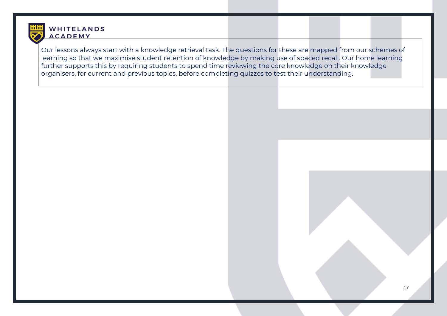

Our lessons always start with a knowledge retrieval task. The questions for these are mapped from our schemes of learning so that we maximise student retention of knowledge by making use of spaced recall. Our home learning further supports this by requiring students to spend time reviewing the core knowledge on their knowledge organisers, for current and previous topics, before completing quizzes to test their understanding.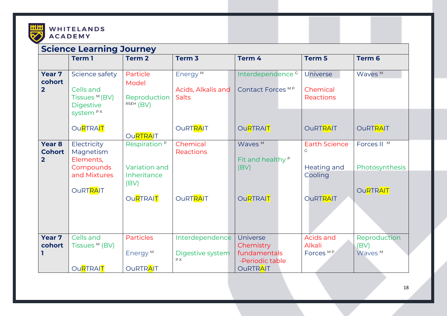

|                                               | <b>Science Learning Journey</b><br>Term <sub>3</sub><br>Term 4<br><b>Term 1</b><br><b>Term 2</b><br>Term <sub>5</sub><br>Term 6<br>Energy <sup>M</sup><br>Waves <sup>M</sup><br>Particle<br>Interdependence <sup>c</sup><br>Science safety<br>Universe<br>Model<br>Contact Forces MP<br>Cells and<br>Acids, Alkalis and<br>Chemical<br><b>Salts</b><br>Reproduction<br>Tissues M(BV)<br>Reactions<br>RSEH (BV)<br><b>Digestive</b><br>system <sup>PX</sup><br>OuRTRAIT<br><b>OuRTRAIT</b><br><b>OURTRAIT</b><br><b>OURTRAIT</b><br><b>OURTRAIT</b><br><b>OuRTRAIT</b><br>Respiration <sup>P</sup><br>Chemical<br>Waves <sup>M</sup><br><b>Earth Science</b><br>Forces II M<br>Electricity<br>G<br>Magnetism<br>Reactions<br>Fit and healthy P<br>Elements,<br>Compounds<br>Variation and<br>Photosynthesis<br>Heating and<br>(BV)<br>and Mixtures<br>Inheritance<br>Cooling<br>(BV)<br>OuRTRAIT<br><b>OURTRAIT</b><br>OuRTRAIT<br>OuRTRAIT<br><b>OURTRAIT</b><br><b>OURTRAIT</b><br>Cells and<br>Acids and<br><b>Particles</b><br>Universe<br>Interdependence<br>Reproduction |                                        |                        |                                                                 |                                |                            |
|-----------------------------------------------|-------------------------------------------------------------------------------------------------------------------------------------------------------------------------------------------------------------------------------------------------------------------------------------------------------------------------------------------------------------------------------------------------------------------------------------------------------------------------------------------------------------------------------------------------------------------------------------------------------------------------------------------------------------------------------------------------------------------------------------------------------------------------------------------------------------------------------------------------------------------------------------------------------------------------------------------------------------------------------------------------------------------------------------------------------------------------------|----------------------------------------|------------------------|-----------------------------------------------------------------|--------------------------------|----------------------------|
|                                               |                                                                                                                                                                                                                                                                                                                                                                                                                                                                                                                                                                                                                                                                                                                                                                                                                                                                                                                                                                                                                                                                               |                                        |                        |                                                                 |                                |                            |
| Year <sub>7</sub><br>cohort<br>$\overline{2}$ |                                                                                                                                                                                                                                                                                                                                                                                                                                                                                                                                                                                                                                                                                                                                                                                                                                                                                                                                                                                                                                                                               |                                        |                        |                                                                 |                                |                            |
|                                               |                                                                                                                                                                                                                                                                                                                                                                                                                                                                                                                                                                                                                                                                                                                                                                                                                                                                                                                                                                                                                                                                               |                                        |                        |                                                                 |                                |                            |
| Year 8<br><b>Cohort</b><br>$\overline{2}$     |                                                                                                                                                                                                                                                                                                                                                                                                                                                                                                                                                                                                                                                                                                                                                                                                                                                                                                                                                                                                                                                                               |                                        |                        |                                                                 |                                |                            |
|                                               |                                                                                                                                                                                                                                                                                                                                                                                                                                                                                                                                                                                                                                                                                                                                                                                                                                                                                                                                                                                                                                                                               |                                        |                        |                                                                 |                                |                            |
| Year <sub>7</sub><br>cohort                   | Tissues M (BV)<br><b>OuRTRAIT</b>                                                                                                                                                                                                                                                                                                                                                                                                                                                                                                                                                                                                                                                                                                                                                                                                                                                                                                                                                                                                                                             | Energy <sup>M</sup><br><b>OURTRAIT</b> | Digestive system<br>PX | Chemistry<br>fundamentals<br>-Periodic table<br><b>OuRTRAIT</b> | Alkali<br>Forces <sup>MP</sup> | (BV)<br>Waves <sup>™</sup> |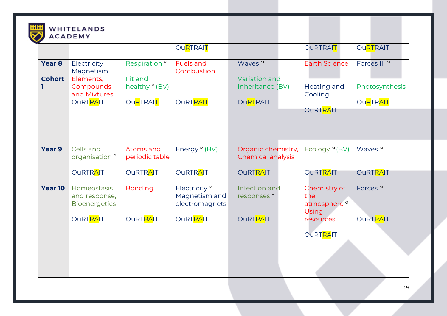

# WHITELANDS

|                                    |                                                             |                                                         | OuRTRAIT                                                    |                                                | <b>OURTRAIT</b>                                         | <b>OURTRAIT</b>            |
|------------------------------------|-------------------------------------------------------------|---------------------------------------------------------|-------------------------------------------------------------|------------------------------------------------|---------------------------------------------------------|----------------------------|
| Year <sub>8</sub><br><b>Cohort</b> | Electricity<br>Magnetism<br>Elements,                       | Respiration <sup>P</sup><br>Fit and                     | <b>Fuels and</b><br>Combustion                              | Waves <sup>M</sup><br><b>Variation and</b>     | <b>Earth Science</b>                                    | Forces II M                |
|                                    | Compounds<br>and Mixtures<br>OuRTRAIT                       | healthy P (BV)<br>Ou <mark>R</mark> TRAI <mark>T</mark> | <b>OURTRAIT</b>                                             | Inheritance (BV)<br><b>OURTRAIT</b>            | Heating and<br>Cooling                                  | Photosynthesis<br>OuRTRAIT |
|                                    |                                                             |                                                         |                                                             |                                                | <b>OURTRAIT</b>                                         |                            |
| Year 9                             | Cells and<br>organisation <sup>P</sup>                      | Atoms and<br>periodic table                             | Energy <sup>M</sup> (BV)                                    | Organic chemistry,<br><b>Chemical analysis</b> | Ecology <sup>M</sup> (BV)                               | Waves <sup>M</sup>         |
|                                    | OuRTRAIT                                                    | OuRTRAIT                                                | <b>OURTRAIT</b>                                             | <b>OURTRAIT</b>                                | <b>OURTRAIT</b>                                         | <b>OURTRAIT</b>            |
| <b>Year 10</b>                     | <b>Homeostasis</b><br>and response,<br><b>Bioenergetics</b> | <b>Bonding</b>                                          | Electricity <sup>M</sup><br>Magnetism and<br>electromagnets | Infection and<br>responses <sup>H</sup>        | Chemistry of<br>the<br>atmosphere <sup>c</sup><br>Using | Forces <sup>M</sup>        |
|                                    | OuRTRAIT                                                    | OuRTRAIT                                                | OuRTRAIT                                                    | <b>OURTRAIT</b>                                | resources<br><b>OURTRAIT</b>                            | <b>OURTRAIT</b>            |
|                                    |                                                             |                                                         |                                                             |                                                |                                                         |                            |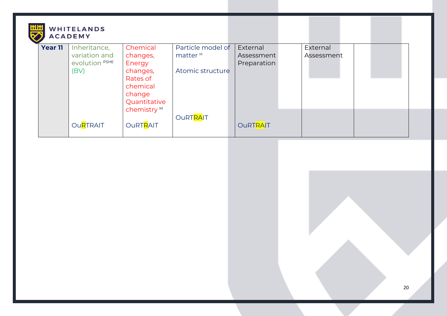|                | <b>WHITELANDS</b><br><b>ACADEMY</b> |                        |                     |                 |            |  |  |
|----------------|-------------------------------------|------------------------|---------------------|-----------------|------------|--|--|
| <b>Year 11</b> | Inheritance,                        | Chemical               | Particle model of   | External        | External   |  |  |
|                | variation and                       | changes,               | matter <sup>H</sup> | Assessment      | Assessment |  |  |
|                | evolution PSHE                      | Energy                 |                     | Preparation     |            |  |  |
|                | (BV)                                | changes,               | Atomic structure    |                 |            |  |  |
|                |                                     | Rates of               |                     |                 |            |  |  |
|                |                                     | chemical               |                     |                 |            |  |  |
|                |                                     | change                 |                     |                 |            |  |  |
|                |                                     | Quantitative           |                     |                 |            |  |  |
|                |                                     | chemistry <sup>M</sup> |                     |                 |            |  |  |
|                |                                     |                        | <b>OURTRAIT</b>     |                 |            |  |  |
|                | OuRTRAIT                            | <b>OURTRAIT</b>        |                     | <b>OURTRAIT</b> |            |  |  |
|                |                                     |                        |                     |                 |            |  |  |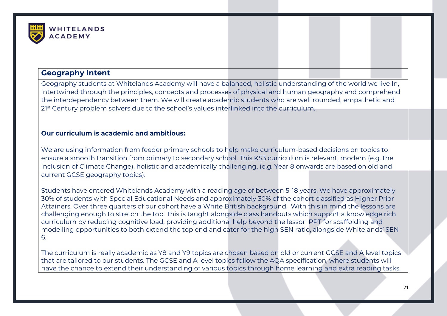

# **Geography Intent**

Geography students at Whitelands Academy will have a balanced, holistic understanding of the world we live In, intertwined through the principles, concepts and processes of physical and human geography and comprehend the interdependency between them. We will create academic students who are well rounded, empathetic and 2<sup>1st</sup> Century problem solvers due to the school's values interlinked into the curriculum.

### **Our curriculum is academic and ambitious:**

We are using information from feeder primary schools to help make curriculum-based decisions on topics to ensure a smooth transition from primary to secondary school. This KS3 curriculum is relevant, modern (e.g. the inclusion of Climate Change), holistic and academically challenging, (e.g. Year 8 onwards are based on old and current GCSE geography topics).

Students have entered Whitelands Academy with a reading age of between 5-18 years. We have approximately 30% of students with Special Educational Needs and approximately 30% of the cohort classified as Higher Prior Attainers. Over three quarters of our cohort have a White British background. With this in mind the lessons are challenging enough to stretch the top. This is taught alongside class handouts which support a knowledge rich curriculum by reducing cognitive load, providing additional help beyond the lesson PPT for scaffolding and modelling opportunities to both extend the top end and cater for the high SEN ratio, alongside Whitelands' SEN 6.

The curriculum is really academic as Y8 and Y9 topics are chosen based on old or current GCSE and A level topics that are tailored to our students. The GCSE and A level topics follow the AQA specification, where students will have the chance to extend their understanding of various topics through home learning and extra reading tasks.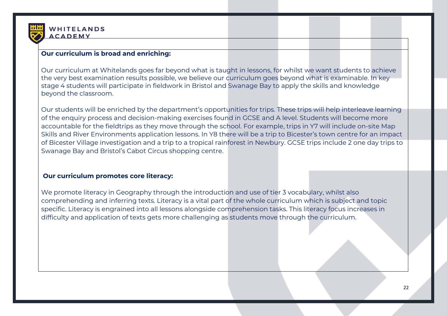

### **Our curriculum is broad and enriching:**

Our curriculum at Whitelands goes far beyond what is taught in lessons, for whilst we want students to achieve the very best examination results possible, we believe our curriculum goes beyond what is examinable. In key stage 4 students will participate in fieldwork in Bristol and Swanage Bay to apply the skills and knowledge beyond the classroom.

Our students will be enriched by the department's opportunities for trips. These trips will help interleave learning of the enquiry process and decision-making exercises found in GCSE and A level. Students will become more accountable for the fieldtrips as they move through the school. For example, trips in Y7 will include on-site Map Skills and River Environments application lessons. In Y8 there will be a trip to Bicester's town centre for an impact of Bicester Village investigation and a trip to a tropical rainforest in Newbury. GCSE trips include 2 one day trips to Swanage Bay and Bristol's Cabot Circus shopping centre.

### **Our curriculum promotes core literacy:**

We promote literacy in Geography through the introduction and use of tier 3 vocabulary, whilst also comprehending and inferring texts. Literacy is a vital part of the whole curriculum which is subject and topic specific. Literacy is engrained into all lessons alongside comprehension tasks. This literacy focus increases in difficulty and application of texts gets more challenging as students move through the curriculum.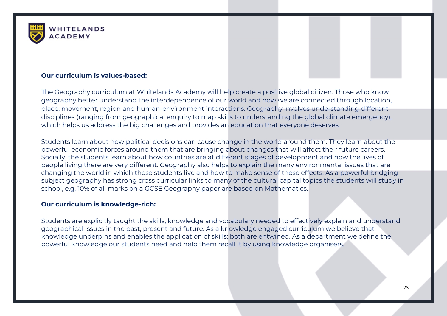

### **Our curriculum is values-based:**

The Geography curriculum at Whitelands Academy will help create a positive global citizen. Those who know geography better understand the interdependence of our world and how we are connected through location, place, movement, region and human-environment interactions. Geography involves understanding different disciplines (ranging from geographical enquiry to map skills to understanding the global climate emergency), which helps us address the big challenges and provides an education that everyone deserves.

Students learn about how political decisions can cause change in the world around them. They learn about the powerful economic forces around them that are bringing about changes that will affect their future careers. Socially, the students learn about how countries are at different stages of development and how the lives of people living there are very different. Geography also helps to explain the many environmental issues that are changing the world in which these students live and how to make sense of these effects. As a powerful bridging subject geography has strong cross curricular links to many of the cultural capital topics the students will study in school, e.g. 10% of all marks on a GCSE Geography paper are based on Mathematics.

### **Our curriculum is knowledge-rich:**

Students are explicitly taught the skills, knowledge and vocabulary needed to effectively explain and understand geographical issues in the past, present and future. As a knowledge engaged curriculum we believe that knowledge underpins and enables the application of skills; both are entwined. As a department we define the powerful knowledge our students need and help them recall it by using knowledge organisers.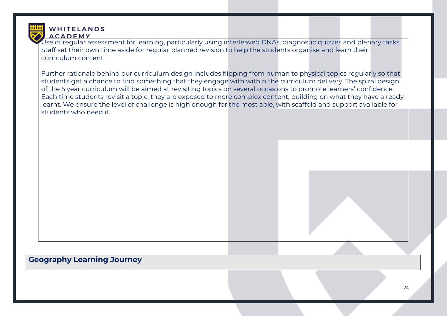

Use of regular assessment for learning, particularly using interleaved DNAs, diagnostic quizzes and plenary tasks. Staff set their own time aside for regular planned revision to help the students organise and learn their curriculum content.

Further rationale behind our curriculum design includes flipping from human to physical topics regularly so that students get a chance to find something that they engage with within the curriculum delivery. The spiral design of the 5 year curriculum will be aimed at revisiting topics on several occasions to promote learners' confidence. Each time students revisit a topic, they are exposed to more complex content, building on what they have already learnt. We ensure the level of challenge is high enough for the most able, with scaffold and support available for students who need it.

# **Geography Learning Journey**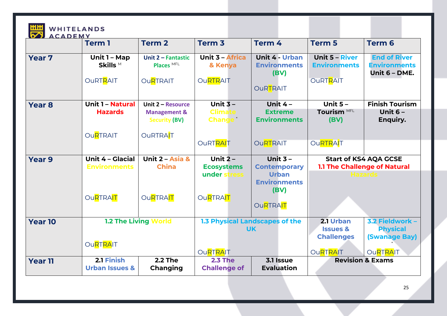| <b>iiii</b> WHITELANDS |  |
|------------------------|--|
| <b>VALACADEMY</b>      |  |

| <b>WALACADEMY</b> | <b>Term 1</b>                                          | <b>Term 2</b>                                       | Term <sub>3</sub>                                    | Term 4                                                                | <b>Term 5</b>                                                   | <b>Term 6</b>                                               |
|-------------------|--------------------------------------------------------|-----------------------------------------------------|------------------------------------------------------|-----------------------------------------------------------------------|-----------------------------------------------------------------|-------------------------------------------------------------|
| Year 7            | Unit 1 - Map<br>Skills <sup>M</sup><br><b>OURTRAIT</b> | Unit 2 - Fantastic<br>Places MFL<br><b>OURTRAIT</b> | <b>Unit 3 - Africa</b><br>& Kenya<br><b>OURTRAIT</b> | <b>Unit 4 Urban</b><br><b>Environments</b><br>(BV)<br><b>OURTRAIT</b> | <b>Unit 5 - River</b><br><b>Environments</b><br><b>OuRTRAIT</b> | <b>End of River</b><br><b>Environments</b><br>Unit 6 - DME. |
| Year <sub>8</sub> | <b>Unit 1 - Natural</b>                                | Unit 2 - Resource                                   | Unit $3 -$                                           | Unit $4 -$                                                            | Unit $5 -$                                                      | <b>Finish Tourism</b>                                       |
|                   | <b>Hazards</b>                                         | <b>Management &amp;</b><br><b>Security (BV)</b>     | <b>Climate</b><br><b>Change*</b>                     | <b>Extreme</b><br><b>Environments</b>                                 | <b>Tourism MFL</b><br>(BV)                                      | Unit $6 -$<br>Enquiry.                                      |
|                   | <b>OURTRAIT</b>                                        | <b>OURTRAIT</b>                                     | <b>OURTRAIT</b>                                      | <b>OURTRAIT</b>                                                       | OuRTRAIT                                                        |                                                             |
| <b>Year 9</b>     | <b>Unit 4 - Glacial</b><br><b>Environments</b>         | Unit 2 - Asia &<br><b>China</b>                     | Unit $2 -$<br><b>Ecosystems</b>                      | Unit $3 -$<br><b>Contemporary</b>                                     | <b>Start of KS4 AQA GCSE</b><br>1.1 The Challenge of Natural    |                                                             |
|                   |                                                        |                                                     | under stress                                         | <b>Urban</b><br><b>Environments</b><br>(BV)                           | <b>Hazards</b>                                                  |                                                             |
|                   | OuRTRAIT                                               | <b>OURTRAIT</b>                                     | OuRTRAIT                                             | <b>OURTRAIT</b>                                                       |                                                                 |                                                             |
| <b>Year 10</b>    | 1.2 The Living World                                   |                                                     |                                                      | 1.3 Physical Landscapes of the<br><b>UK</b>                           | 2.1 Urban<br><b>Issues &amp;</b><br><b>Challenges</b>           | 3.2 Fieldwork -<br><b>Physical</b><br>(Swanage Bay)         |
|                   | <b>OuRTRAIT</b>                                        |                                                     | <b>OuRTRAIT</b>                                      |                                                                       | <b>OuRTRAIT</b>                                                 | <b>OuRTRAIT</b>                                             |
| <b>Year 11</b>    | 2.1 Finish<br><b>Urban Issues &amp;</b>                | <b>2.2 The</b><br><b>Changing</b>                   | <b>2.3 The</b><br><b>Challenge of</b>                | 3.1 Issue<br><b>Evaluation</b>                                        |                                                                 | <b>Revision &amp; Exams</b>                                 |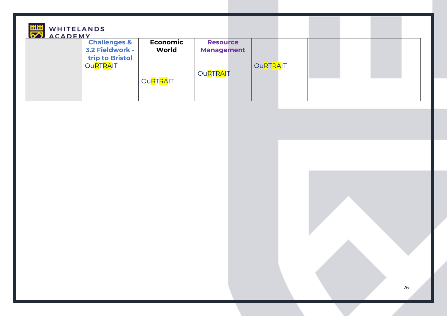| <b>HHH</b><br><b>WHITELANDS</b><br>$\overline{\triangledown}$<br><b>ACADEMY</b> |                             |                 |                   |                 |  |  |
|---------------------------------------------------------------------------------|-----------------------------|-----------------|-------------------|-----------------|--|--|
|                                                                                 | <b>Challenges &amp;</b>     | <b>Economic</b> | <b>Resource</b>   |                 |  |  |
|                                                                                 | 3.2 Fieldwork -             | World           | <b>Management</b> |                 |  |  |
|                                                                                 | trip to Bristol<br>OuRTRAIT |                 | <b>OuRTRAIT</b>   | <b>OuRTRAIT</b> |  |  |
|                                                                                 |                             | <b>OuRTRAIT</b> |                   |                 |  |  |
|                                                                                 |                             |                 |                   |                 |  |  |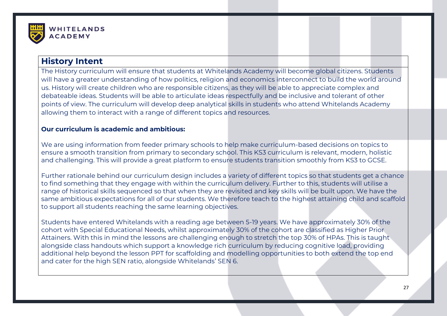

# **History Intent**

The History curriculum will ensure that students at Whitelands Academy will become global citizens. Students will have a greater understanding of how politics, religion and economics interconnect to build the world around us. History will create children who are responsible citizens, as they will be able to appreciate complex and debateable ideas. Students will be able to articulate ideas respectfully and be inclusive and tolerant of other points of view. The curriculum will develop deep analytical skills in students who attend Whitelands Academy allowing them to interact with a range of different topics and resources.

## **Our curriculum is academic and ambitious:**

We are using information from feeder primary schools to help make curriculum-based decisions on topics to ensure a smooth transition from primary to secondary school. This KS3 curriculum is relevant, modern, holistic and challenging. This will provide a great platform to ensure students transition smoothly from KS3 to GCSE.

Further rationale behind our curriculum design includes a variety of different topics so that students get a chance to find something that they engage with within the curriculum delivery. Further to this, students will utilise a range of historical skills sequenced so that when they are revisited and key skills will be built upon. We have the same ambitious expectations for all of our students. We therefore teach to the highest attaining child and scaffold to support all students reaching the same learning objectives.

Students have entered Whitelands with a reading age between 5-19 years. We have approximately 30% of the cohort with Special Educational Needs, whilst approximately 30% of the cohort are classified as Higher Prior Attainers. With this in mind the lessons are challenging enough to stretch the top 30% of HPAs. This is taught alongside class handouts which support a knowledge rich curriculum by reducing cognitive load, providing additional help beyond the lesson PPT for scaffolding and modelling opportunities to both extend the top end and cater for the high SEN ratio, alongside Whitelands' SEN 6.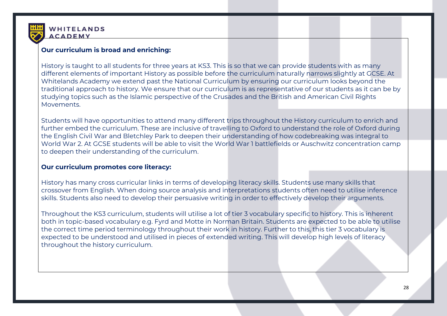

# **Our curriculum is broad and enriching:**

History is taught to all students for three years at KS3. This is so that we can provide students with as many different elements of important History as possible before the curriculum naturally narrows slightly at GCSE. At Whitelands Academy we extend past the National Curriculum by ensuring our curriculum looks beyond the traditional approach to history. We ensure that our curriculum is as representative of our students as it can be by studying topics such as the Islamic perspective of the Crusades and the British and American Civil Rights Movements.

Students will have opportunities to attend many different trips throughout the History curriculum to enrich and further embed the curriculum. These are inclusive of travelling to Oxford to understand the role of Oxford during the English Civil War and Bletchley Park to deepen their understanding of how codebreaking was integral to World War 2. At GCSE students will be able to visit the World War 1 battlefields or Auschwitz concentration camp to deepen their understanding of the curriculum.

### **Our curriculum promotes core literacy:**

History has many cross curricular links in terms of developing literacy skills. Students use many skills that crossover from English. When doing source analysis and interpretations students often need to utilise inference skills. Students also need to develop their persuasive writing in order to effectively develop their arguments.

Throughout the KS3 curriculum, students will utilise a lot of tier 3 vocabulary specific to history. This is inherent both in topic-based vocabulary e.g. Fyrd and Motte in Norman Britain. Students are expected to be able to utilise the correct time period terminology throughout their work in history. Further to this, this tier 3 vocabulary is expected to be understood and utilised in pieces of extended writing. This will develop high levels of literacy throughout the history curriculum.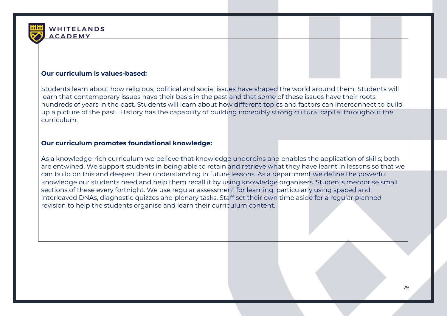

### **Our curriculum is values-based:**

Students learn about how religious, political and social issues have shaped the world around them. Students will learn that contemporary issues have their basis in the past and that some of these issues have their roots hundreds of years in the past. Students will learn about how different topics and factors can interconnect to build up a picture of the past. History has the capability of building incredibly strong cultural capital throughout the curriculum.

### **Our curriculum promotes foundational knowledge:**

As a knowledge-rich curriculum we believe that knowledge underpins and enables the application of skills; both are entwined. We support students in being able to retain and retrieve what they have learnt in lessons so that we can build on this and deepen their understanding in future lessons. As a department we define the powerful knowledge our students need and help them recall it by using knowledge organisers. Students memorise small sections of these every fortnight. We use regular assessment for learning, particularly using spaced and interleaved DNAs, diagnostic quizzes and plenary tasks. Staff set their own time aside for a regular planned revision to help the students organise and learn their curriculum content.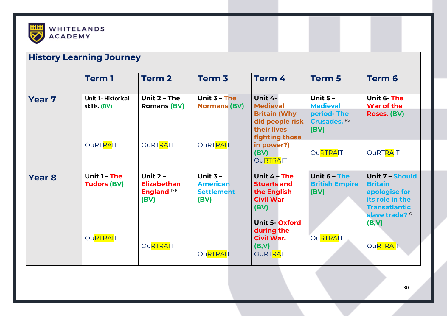

# **History Learning Journey**

|               | <b>Term 1</b>                             | <b>Term 2</b>                                                     | <b>Term 3</b>                                              | Term 4                                                                                                       | Term 5                                                              | <b>Term 6</b>                                                                                                                              |
|---------------|-------------------------------------------|-------------------------------------------------------------------|------------------------------------------------------------|--------------------------------------------------------------------------------------------------------------|---------------------------------------------------------------------|--------------------------------------------------------------------------------------------------------------------------------------------|
| <b>Year 7</b> | <b>Unit 1- Historical</b><br>skills. (BV) | Unit $2 - The$<br><b>Romans (BV)</b>                              | Unit $3 - The$<br><b>Normans (BV)</b>                      | Unit 4-<br><b>Medieval</b><br><b>Britain (Why</b><br>did people risk<br>their lives<br><b>fighting those</b> | Unit $5 -$<br><b>Medieval</b><br>period-The<br>Crusades. RS<br>(BV) | Unit 6- The<br>War of the<br>Roses. (BV)                                                                                                   |
|               | <b>OuRTRAIT</b>                           | <b>OURTRAIT</b>                                                   | <b>OURTRAIT</b>                                            | in power?)<br>(BV)<br><b>OURTRAIT</b>                                                                        | <b>OuRTRAIT</b>                                                     | <b>OURTRAIT</b>                                                                                                                            |
| <b>Year 8</b> | Unit $1 - The$<br><b>Tudors (BV)</b>      | Unit $2 -$<br><b>Elizabethan</b><br>England <sup>DE</sup><br>(BV) | Unit $3 -$<br><b>American</b><br><b>Settlement</b><br>(BV) | Unit $4 - The$<br><b>Stuarts and</b><br>the English<br><b>Civil War</b><br>(BV)<br><b>Unit 5-Oxford</b>      | Unit 6 - The<br><b>British Empire</b><br>(BV)                       | <b>Unit 7 - Should</b><br><b>Britain</b><br>apologise for<br>its role in the<br><b>Transatlantic</b><br>slave trade? <sup>G</sup><br>(B,V) |
|               | <b>OuRTRAIT</b>                           | <b>OuRTRAIT</b>                                                   | <b>OuRTRAIT</b>                                            | during the<br>Civil War. <sup>c</sup><br>(B,V)<br><b>OURTRAIT</b>                                            | <b>OuRTRAIT</b>                                                     | <b>OuRTRAIT</b>                                                                                                                            |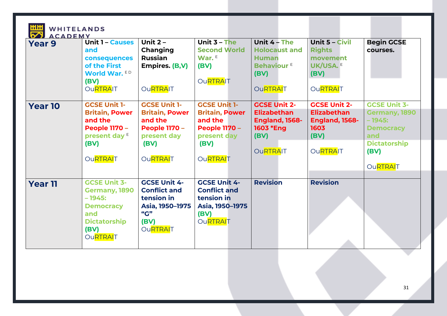| <b>ACADEMY</b><br>Year 9 | <b>Unit 1 - Causes</b><br>and<br>consequences<br>of the First<br>World War. ED<br>(BV)<br><b>OuRTRAIT</b>                              | Unit $2 -$<br><b>Changing</b><br><b>Russian</b><br>Empires. (B,V)<br><b>OuRTRAIT</b>                                      | Unit $3 - The$<br><b>Second World</b><br>War. $E$<br>(BV)<br><b>OuRTRAIT</b>                                              | Unit 4 - The<br><b>Holocaust and</b><br><b>Human</b><br>Behaviour <sup>E</sup><br>(BV)<br><b>OuRTRAIT</b>  | Unit 5 - Civil<br><b>Rights</b><br>movement<br>UK/USA. E<br>(BV)<br><b>OuRTRAIT</b>                   | <b>Begin GCSE</b><br>courses.                                                                                                 |
|--------------------------|----------------------------------------------------------------------------------------------------------------------------------------|---------------------------------------------------------------------------------------------------------------------------|---------------------------------------------------------------------------------------------------------------------------|------------------------------------------------------------------------------------------------------------|-------------------------------------------------------------------------------------------------------|-------------------------------------------------------------------------------------------------------------------------------|
| <b>Year 10</b>           | <b>GCSE Unit 1-</b><br><b>Britain, Power</b><br>and the<br><b>People 1170 -</b><br>present day <sup>E</sup><br>(BV)<br><b>OuRTRAIT</b> | <b>GCSE Unit 1-</b><br><b>Britain, Power</b><br>and the<br><b>People 1170 -</b><br>present day<br>(BV)<br><b>OuRTRAIT</b> | <b>GCSE Unit 1-</b><br><b>Britain, Power</b><br>and the<br><b>People 1170 -</b><br>present day<br>(BV)<br><b>OuRTRAIT</b> | <b>GCSE Unit 2-</b><br><b>Elizabethan</b><br><b>England, 1568-</b><br>1603 *Eng<br>(BV)<br><b>OURTRAIT</b> | <b>GCSE Unit 2-</b><br><b>Elizabethan</b><br><b>England, 1568-</b><br>1603<br>(BV)<br><b>OuRTRAIT</b> | <b>GCSE Unit 3-</b><br>Germany, 1890<br>$-1945:$<br><b>Democracy</b><br>and<br><b>Dictatorship</b><br>(BV)<br><b>OuRTRAIT</b> |
| <b>Year 11</b>           | <b>GCSE Unit 3-</b><br>Germany, 1890<br>$-1945:$<br><b>Democracy</b><br>and<br><b>Dictatorship</b><br>(BV)<br><b>OURTRAIT</b>          | <b>GCSE Unit 4-</b><br><b>Conflict and</b><br>tension in<br>Asia, 1950-1975<br>"G"<br>(BV)<br><b>OuRTRAIT</b>             | <b>GCSE Unit 4-</b><br><b>Conflict and</b><br>tension in<br>Asia, 1950-1975<br>(BV)<br><b>OURTRAIT</b>                    | <b>Revision</b>                                                                                            | <b>Revision</b>                                                                                       |                                                                                                                               |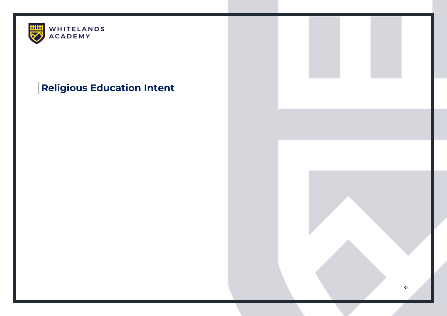

# **Religious Education Intent**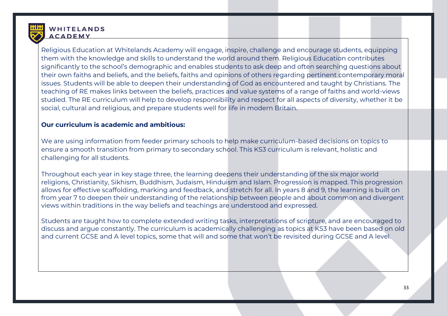

Religious Education at Whitelands Academy will engage, inspire, challenge and encourage students, equipping them with the knowledge and skills to understand the world around them. Religious Education contributes significantly to the school's demographic and enables students to ask deep and often searching questions about their own faiths and beliefs, and the beliefs, faiths and opinions of others regarding pertinent contemporary moral issues. Students will be able to deepen their understanding of God as encountered and taught by Christians. The teaching of RE makes links between the beliefs, practices and value systems of a range of faiths and world-views studied. The RE curriculum will help to develop responsibility and respect for all aspects of diversity, whether it be social, cultural and religious, and prepare students well for life in modern Britain.

### **Our curriculum is academic and ambitious:**

We are using information from feeder primary schools to help make curriculum-based decisions on topics to ensure a smooth transition from primary to secondary school. This KS3 curriculum is relevant, holistic and challenging for all students.

Throughout each year in key stage three, the learning deepens their understanding of the six major world religions, Christianity, Sikhism, Buddhism, Judaism, Hinduism and Islam. Progression is mapped. This progression allows for effective scaffolding, marking and feedback, and stretch for all. In years 8 and 9, the learning is built on from year 7 to deepen their understanding of the relationship between people and about common and divergent views within traditions in the way beliefs and teachings are understood and expressed.

Students are taught how to complete extended writing tasks, interpretations of scripture, and are encouraged to discuss and argue constantly. The curriculum is academically challenging as topics at KS3 have been based on old and current GCSE and A level topics, some that will and some that won't be revisited during GCSE and A level.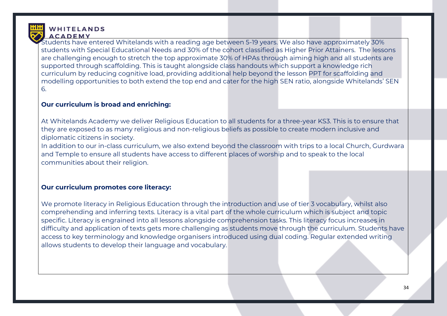

Students have entered Whitelands with a reading age between 5-19 years. We also have approximately 30% students with Special Educational Needs and 30% of the cohort classified as Higher Prior Attainers. The lessons are challenging enough to stretch the top approximate 30% of HPAs through aiming high and all students are supported through scaffolding. This is taught alongside class handouts which support a knowledge rich curriculum by reducing cognitive load, providing additional help beyond the lesson PPT for scaffolding and modelling opportunities to both extend the top end and cater for the high SEN ratio, alongside Whitelands' SEN 6.

### **Our curriculum is broad and enriching:**

At Whitelands Academy we deliver Religious Education to all students for a three-year KS3. This is to ensure that they are exposed to as many religious and non-religious beliefs as possible to create modern inclusive and diplomatic citizens in society.

In addition to our in-class curriculum, we also extend beyond the classroom with trips to a local Church, Gurdwara and Temple to ensure all students have access to different places of worship and to speak to the local communities about their religion.

### **Our curriculum promotes core literacy:**

We promote literacy in Religious Education through the introduction and use of tier 3 vocabulary, whilst also comprehending and inferring texts. Literacy is a vital part of the whole curriculum which is subject and topic specific. Literacy is engrained into all lessons alongside comprehension tasks. This literacy focus increases in difficulty and application of texts gets more challenging as students move through the curriculum. Students have access to key terminology and knowledge organisers introduced using dual coding. Regular extended writing allows students to develop their language and vocabulary.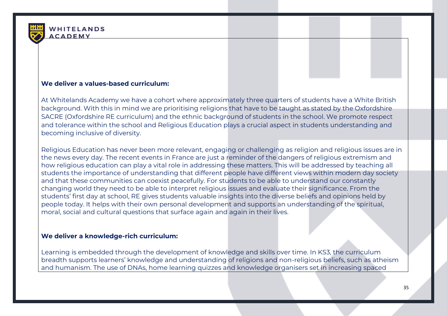

### **We deliver a values-based curriculum:**

At Whitelands Academy we have a cohort where approximately three quarters of students have a White British background. With this in mind we are prioritising religions that have to be taught as stated by the Oxfordshire SACRE (Oxfordshire RE curriculum) and the ethnic background of students in the school. We promote respect and tolerance within the school and Religious Education plays a crucial aspect in students understanding and becoming inclusive of diversity.

Religious Education has never been more relevant, engaging or challenging as religion and religious issues are in the news every day. The recent events in France are just a reminder of the dangers of religious extremism and how religious education can play a vital role in addressing these matters. This will be addressed by teaching all students the importance of understanding that different people have different views within modern day society and that these communities can coexist peacefully. For students to be able to understand our constantly changing world they need to be able to interpret religious issues and evaluate their significance. From the students' first day at school, RE gives students valuable insights into the diverse beliefs and opinions held by people today. It helps with their own personal development and supports an understanding of the spiritual, moral, social and cultural questions that surface again and again in their lives.

### **We deliver a knowledge-rich curriculum:**

Learning is embedded through the development of knowledge and skills over time. In KS3, the curriculum breadth supports learners' knowledge and understanding of religions and non-religious beliefs, such as atheism and humanism. The use of DNAs, home learning quizzes and knowledge organisers set in increasing spaced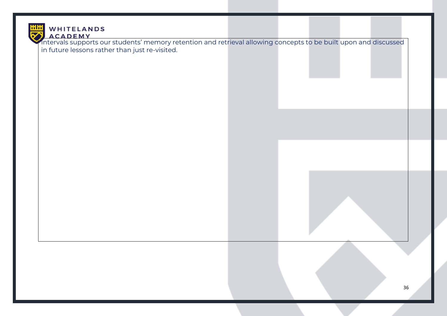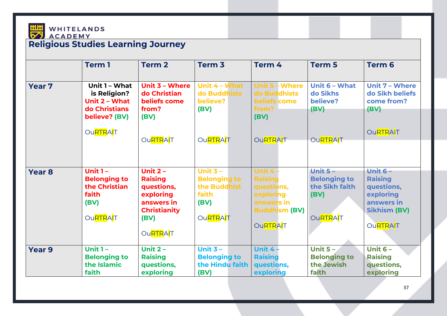

### **Religious Studies Learning Journey**

|               | <b>Term 1</b>       | <b>Term 2</b>       | Term <sub>3</sub>   | Term 4                | Term 5              | <b>Term 6</b>       |
|---------------|---------------------|---------------------|---------------------|-----------------------|---------------------|---------------------|
|               |                     |                     |                     |                       |                     |                     |
| <b>Year 7</b> | Unit 1 - What       | Unit $3 -$ Where    | Unit 4 - What       | <b>Unit 5 - Where</b> | Unit 6 - What       | Unit 7 - Where      |
|               | is Religion?        | do Christian        | do Buddhists        | do Buddhists          | do Sikhs            | do Sikh beliefs     |
|               | Unit 2 - What       | beliefs come        | believe?            | beliefs come          | believe?            | come from?          |
|               | do Christians       | from?               | (BV)                | from?                 | (BV)                | (BV)                |
|               | believe? (BV)       | (BV)                |                     | (BV)                  |                     |                     |
|               | OuRTRAIT            |                     |                     |                       |                     | <b>OuRTRAIT</b>     |
|               |                     | OuRTRAIT            | <b>OuRTRAIT</b>     | <b>OuRTRAIT</b>       | <b>OuRTRAIT</b>     |                     |
|               |                     |                     |                     |                       |                     |                     |
|               |                     |                     |                     |                       |                     |                     |
|               |                     |                     |                     |                       |                     |                     |
| <b>Year 8</b> | Unit $1 -$          | Unit $2 -$          | Unit $3 -$          | Unit $4-$             | Unit $5 -$          | Unit $6 -$          |
|               | <b>Belonging to</b> | <b>Raising</b>      | <b>Belonging to</b> | <b>Raising</b>        | <b>Belonging to</b> | <b>Raising</b>      |
|               | the Christian       | questions,          | the Buddhist        | questions,            | the Sikh faith      | questions,          |
|               | faith               | exploring           | faith               | exploring             | (BV)                | exploring           |
|               | (BV)                | answers in          | (BV)                | answers in            |                     | answers in          |
|               |                     | <b>Christianity</b> |                     | <b>Buddhism (BV)</b>  |                     | <b>Sikhism (BV)</b> |
|               | <b>OuRTRAIT</b>     | (BV)                | <b>OuRTRAIT</b>     |                       | <b>OuRTRAIT</b>     |                     |
|               |                     |                     |                     | <b>OuRTRAIT</b>       |                     | <b>OuRTRAIT</b>     |
|               |                     | OuRTRAIT            |                     |                       |                     |                     |
| <b>Year 9</b> | Unit $1 -$          | Unit $2 -$          | Unit $3 -$          | Unit $4-$             | Unit $5 -$          | Unit $6 -$          |
|               | <b>Belonging to</b> | <b>Raising</b>      | <b>Belonging to</b> | <b>Raising</b>        | <b>Belonging to</b> | <b>Raising</b>      |
|               | the Islamic         | questions,          | the Hindu faith     | questions,            | the Jewish          | questions,          |
|               | faith               | exploring           | (BV)                | exploring             | faith               | exploring           |
|               |                     |                     |                     |                       |                     |                     |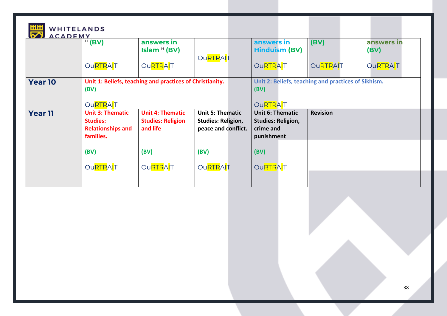

| ACADEMY        |                                                                                     |                                                                 |                                                                             |                                                                                 |                 |                    |  |
|----------------|-------------------------------------------------------------------------------------|-----------------------------------------------------------------|-----------------------------------------------------------------------------|---------------------------------------------------------------------------------|-----------------|--------------------|--|
|                | H(BV)                                                                               | answers in<br>Islam $H$ (BV)                                    | <b>OuRTRAIT</b>                                                             | answers in<br><b>Hinduism (BV)</b>                                              | (BV)            | answers in<br>(BV) |  |
|                | <b>OuRTRAIT</b>                                                                     | <b>OuRTRAIT</b>                                                 |                                                                             | <b>OuRTRAIT</b>                                                                 | <b>OuRTRAIT</b> | <b>OuRTRAIT</b>    |  |
| <b>Year 10</b> |                                                                                     | Unit 1: Beliefs, teaching and practices of Christianity.        |                                                                             | Unit 2: Beliefs, teaching and practices of Sikhism.                             |                 |                    |  |
|                | (BV)                                                                                |                                                                 |                                                                             | (BV)                                                                            |                 |                    |  |
|                | <b>OuRTRAIT</b>                                                                     |                                                                 |                                                                             | <b>OuRTRAIT</b>                                                                 |                 |                    |  |
| <b>Year 11</b> | <b>Unit 3: Thematic</b><br><b>Studies:</b><br><b>Relationships and</b><br>families. | <b>Unit 4: Thematic</b><br><b>Studies: Religion</b><br>and life | <b>Unit 5: Thematic</b><br><b>Studies: Religion,</b><br>peace and conflict. | <b>Unit 6: Thematic</b><br><b>Studies: Religion,</b><br>crime and<br>punishment | <b>Revision</b> |                    |  |
|                | (BV)                                                                                | (BV)                                                            | (BV)                                                                        | (BV)                                                                            |                 |                    |  |
|                | <b>OuRTRAIT</b>                                                                     | <b>OuRTRAIT</b>                                                 | <b>OuRTRAIT</b>                                                             | OuRTRAIT                                                                        |                 |                    |  |
|                |                                                                                     |                                                                 |                                                                             |                                                                                 |                 |                    |  |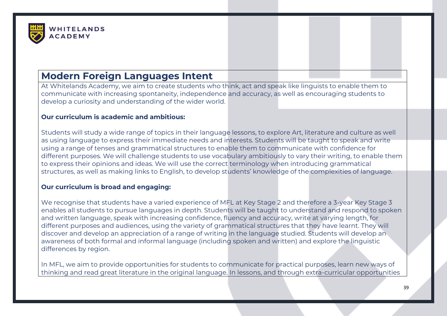

## **Modern Foreign Languages Intent**

At Whitelands Academy, we aim to create students who think, act and speak like linguists to enable them to communicate with increasing spontaneity, independence and accuracy, as well as encouraging students to develop a curiosity and understanding of the wider world.

#### **Our curriculum is academic and ambitious:**

Students will study a wide range of topics in their language lessons, to explore Art, literature and culture as well as using language to express their immediate needs and interests. Students will be taught to speak and write using a range of tenses and grammatical structures to enable them to communicate with confidence for different purposes. We will challenge students to use vocabulary ambitiously to vary their writing, to enable them to express their opinions and ideas. We will use the correct terminology when introducing grammatical structures, as well as making links to English, to develop students' knowledge of the complexities of language.

#### **Our curriculum is broad and engaging:**

We recognise that students have a varied experience of MFL at Key Stage 2 and therefore a 3-year Key Stage 3 enables all students to pursue languages in depth. Students will be taught to understand and respond to spoken and written language, speak with increasing confidence, fluency and accuracy, write at varying length, for different purposes and audiences, using the variety of grammatical structures that they have learnt. They will discover and develop an appreciation of a range of writing in the language studied. Students will develop an awareness of both formal and informal language (including spoken and written) and explore the linguistic differences by region.

In MFL, we aim to provide opportunities for students to communicate for practical purposes, learn new ways of thinking and read great literature in the original language. In lessons, and through extra-curricular opportunities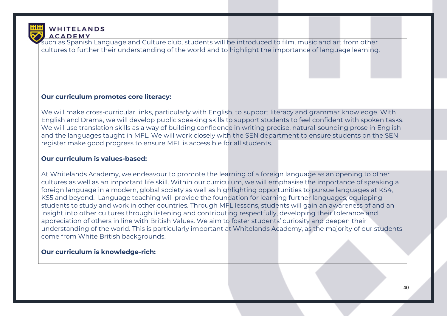

such as Spanish Language and Culture club, students will be introduced to film, music and art from other cultures to further their understanding of the world and to highlight the importance of language learning.

#### **Our curriculum promotes core literacy:**

We will make cross-curricular links, particularly with English, to support literacy and grammar knowledge. With English and Drama, we will develop public speaking skills to support students to feel confident with spoken tasks. We will use translation skills as a way of building confidence in writing precise, natural-sounding prose in English and the languages taught in MFL. We will work closely with the SEN department to ensure students on the SEN register make good progress to ensure MFL is accessible for all students.

#### **Our curriculum is values-based:**

At Whitelands Academy, we endeavour to promote the learning of a foreign language as an opening to other cultures as well as an important life skill. Within our curriculum, we will emphasise the importance of speaking a foreign language in a modern, global society as well as highlighting opportunities to pursue languages at KS4, KS5 and beyond. Language teaching will provide the foundation for learning further languages, equipping students to study and work in other countries. Through MFL lessons, students will gain an awareness of and an insight into other cultures through listening and contributing respectfully, developing their tolerance and appreciation of others in line with British Values. We aim to foster students' curiosity and deepen their understanding of the world. This is particularly important at Whitelands Academy, as the majority of our students come from White British backgrounds.

#### **Our curriculum is knowledge-rich:**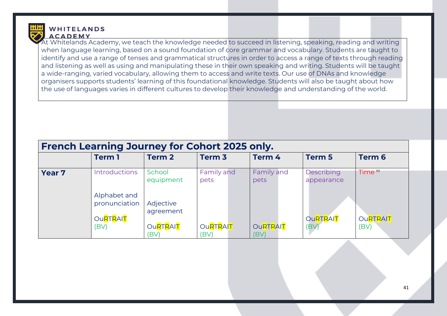

At Whitelands Academy, we teach the knowledge needed to succeed in listening, speaking, reading and writing when language learning, based on a sound foundation of core grammar and vocabulary. Students are taught to identify and use a range of tenses and grammatical structures in order to access a range of texts through reading and listening as well as using and manipulating these in their own speaking and writing. Students will be taught a wide-ranging, varied vocabulary, allowing them to access and write texts. Our use of DNAs and knowledge organisers supports students' learning of this foundational knowledge. Students will also be taught about how the use of languages varies in different cultures to develop their knowledge and understanding of the world.

| <b>French Learning Journey for Cohort 2025 only.</b> |                                                  |                         |                         |                         |                                 |                   |  |  |
|------------------------------------------------------|--------------------------------------------------|-------------------------|-------------------------|-------------------------|---------------------------------|-------------------|--|--|
|                                                      | <b>Term 1</b>                                    | <b>Term 2</b>           | Term <sub>3</sub>       | Term 4                  | Term <sub>5</sub>               | <b>Term 6</b>     |  |  |
| <b>Year 7</b>                                        | <b>Introductions</b>                             | School<br>equipment     | Family and<br>pets      | Family and<br>pets      | <b>Describing</b><br>appearance | Time <sup>M</sup> |  |  |
|                                                      | Alphabet and<br>pronunciation<br><b>OURTRAIT</b> | Adjective<br>agreement  |                         |                         | <b>OURTRAIT</b>                 | <b>OURTRAIT</b>   |  |  |
|                                                      | (BV)                                             | <b>OURTRAIT</b><br>(BV) | <b>OURTRAIT</b><br>(BV) | <b>OURTRAIT</b><br>(BV) | (BV)                            | (BV)              |  |  |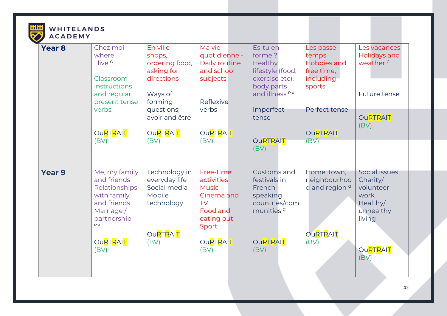| <b>Year 8</b> | Chez moi-<br>where<br>I live <sup>G</sup><br>Classroom<br>instructions<br>and regular<br>present tense                 | En ville $-$<br>shops,<br>ordering food,<br>asking for<br>directions<br>Ways of<br>forming | Ma vie<br>quotidienne -<br>Daily routine<br>and school<br>subjects<br>Reflexive                | Es-tu en<br>forme?<br>Healthy<br>lifestyle (food,<br>exercise etc),<br>body parts<br>and illness PX | Les passe-<br>temps<br>Hobbies and<br>free time,<br>including<br>sports | Les vacances -<br>Holidays and<br>weather <sup>G</sup><br><b>Future tense</b>     |
|---------------|------------------------------------------------------------------------------------------------------------------------|--------------------------------------------------------------------------------------------|------------------------------------------------------------------------------------------------|-----------------------------------------------------------------------------------------------------|-------------------------------------------------------------------------|-----------------------------------------------------------------------------------|
|               | verbs                                                                                                                  | questions;<br>avoir and être                                                               | verbs                                                                                          | Imperfect<br>tense                                                                                  | Perfect tense                                                           | <b>OURTRAIT</b><br>(BV)                                                           |
|               | <b>OuRTRAIT</b><br>(BV)                                                                                                | <b>OURTRAIT</b><br>(BV)                                                                    | <b>OURTRAIT</b><br>(BV)                                                                        | <b>OuRTRAIT</b><br>(BV)                                                                             | <b>OURTRAIT</b><br>(BV)                                                 |                                                                                   |
| <b>Year 9</b> | Me, my family<br>and friends<br>Relationships<br>with family<br>and friends<br>Marriage/<br>partnership<br><b>RSEH</b> | Technology in<br>everyday life<br>Social media<br>Mobile<br>technology                     | Free-time<br>activities<br><b>Music</b><br>Cinema and<br>TV<br>Food and<br>eating out<br>Sport | Customs and<br>festivals in<br>French-<br>speaking<br>countries/com<br>munities <sup>c</sup>        | Home, town,<br>neighbourhoo<br>d and region <sup>c</sup>                | Social issues<br>Charity/<br>volunteer<br>work<br>Healthy/<br>unhealthy<br>living |
|               | <b>OURTRAIT</b><br>(BV)                                                                                                | <b>OuRTRAIT</b><br>(BV)                                                                    | <b>OURTRAIT</b><br>(BV)                                                                        | <b>OURTRAIT</b><br>(BV)                                                                             | <b>OURTRAIT</b><br>(BV)                                                 | <b>OURTRAIT</b><br>(BV)                                                           |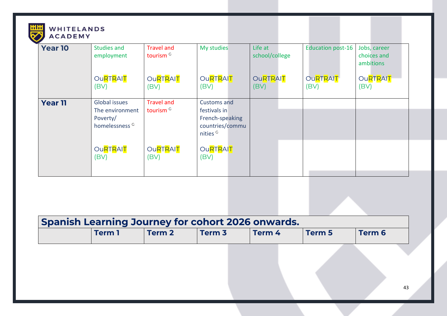| <b>Year 10</b> | <b>Studies and</b><br>employment                                                 | <b>Travel and</b><br>tourism <sup>G</sup> | My studies                                                                                      | Life at<br>school/college | <b>Education post-16</b>        | Jobs, career<br>choices and<br>ambitions |
|----------------|----------------------------------------------------------------------------------|-------------------------------------------|-------------------------------------------------------------------------------------------------|---------------------------|---------------------------------|------------------------------------------|
|                | OuRTRAIT<br>(BV)                                                                 | OuRTRAIT<br>(BV)                          | <b>OURTRAIT</b><br>(BV)                                                                         | <b>OURTRAIT</b><br>(BV)   | Ou <mark>RTR</mark> AIT<br>(BV) | OuRTRAIT<br>(BV)                         |
| <b>Year 11</b> | <b>Global issues</b><br>The environment<br>Poverty/<br>homelessness <sup>G</sup> | <b>Travel and</b><br>tourism <sup>G</sup> | <b>Customs and</b><br>festivals in<br>French-speaking<br>countries/commu<br>nities <sup>G</sup> |                           |                                 |                                          |
|                | OuRTRAIT<br>(BV)                                                                 | OuRTRAIT<br>(BV)                          | OuRTRAIT<br>(BV)                                                                                |                           |                                 |                                          |
|                |                                                                                  |                                           |                                                                                                 |                           |                                 |                                          |
|                | <b>Spanish Learning Journey for cohort 2026 onwards.</b><br><b>Term 1</b>        | <b>Term 2</b>                             | Term <sub>3</sub>                                                                               | Term 4                    | <b>Term 5</b>                   | <b>Term 6</b>                            |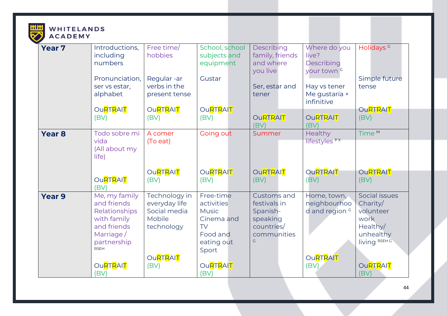| <b>Year 7</b> | Introductions,<br>including<br>numbers                                                                                 | Free time/<br>hobbies                                                  | School, school<br>subjects and<br>equipment                                                           | Describing<br>family, friends<br>and where<br>you live                                | Where do you<br>live?<br>Describing<br>your town <sup>c</sup> | Holidays <sup>c</sup>                                                                   |
|---------------|------------------------------------------------------------------------------------------------------------------------|------------------------------------------------------------------------|-------------------------------------------------------------------------------------------------------|---------------------------------------------------------------------------------------|---------------------------------------------------------------|-----------------------------------------------------------------------------------------|
|               | Pronunciation.<br>ser vs estar,<br>alphabet                                                                            | Regular-ar<br>verbs in the<br>present tense                            | Gustar                                                                                                | Ser, estar and<br>tener                                                               | Hay vs tener<br>Me gustaría +<br>infinitive                   | Simple future<br>tense                                                                  |
|               | <b>OURTRAIT</b><br>(BV)                                                                                                | OuRTRAIT<br>(BV)                                                       | OuRTRAIT<br>(BV)                                                                                      | <b>OURTRAIT</b><br>(BV)                                                               | <b>OURTRAIT</b><br>(BV)                                       | <b>OURTRAIT</b><br>(BV)                                                                 |
| <b>Year 8</b> | Todo sobre mi<br>vida<br>(All about my<br>life)                                                                        | A comer<br>(To eat)                                                    | Going out                                                                                             | Summer                                                                                | Healthy<br>lifestyles <sup>PX</sup>                           | Time™                                                                                   |
|               | <b>OURTRAIT</b><br>(BV)                                                                                                | OuRTRAIT<br>(BV)                                                       | OuRTRAIT<br>(BV)                                                                                      | <b>OURTRAIT</b><br>(BV)                                                               | <b>OURTRAIT</b><br>(BV)                                       | <b>OURTRAIT</b><br>(BV)                                                                 |
| <b>Year 9</b> | Me, my family<br>and friends<br>Relationships<br>with family<br>and friends<br>Marriage/<br>partnership<br><b>RSEH</b> | Technology in<br>everyday life<br>Social media<br>Mobile<br>technology | Free-time<br>activities<br><b>Music</b><br>Cinema and<br><b>TV</b><br>Food and<br>eating out<br>Sport | Customs and<br>festivals in<br>Spanish-<br>speaking<br>countries/<br>communities<br>G | Home, town,<br>neighbourhoo<br>d and region <sup>c</sup>      | Social issues<br>Charity/<br>volunteer<br>work<br>Healthy/<br>unhealthy<br>living RSEHG |
|               | <b>OuRTRAIT</b><br>(BV)                                                                                                | <b>OuRTRAIT</b><br>(BV)                                                | <b>OuRTRAIT</b><br>(BV)                                                                               |                                                                                       | <b>OURTRAIT</b><br>(BV)                                       | <b>OURTRAIT</b><br>(BV)                                                                 |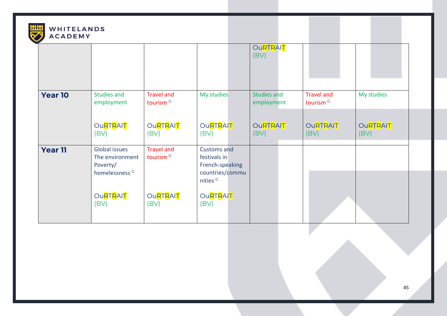

|                |                                                                           |                                           |                                                                          | <b>OURTRAIT</b><br>(BV)          |                                           |                         |
|----------------|---------------------------------------------------------------------------|-------------------------------------------|--------------------------------------------------------------------------|----------------------------------|-------------------------------------------|-------------------------|
| <b>Year 10</b> | <b>Studies and</b><br>employment                                          | <b>Travel and</b><br>tourism <sup>G</sup> | My studies                                                               | <b>Studies and</b><br>employment | <b>Travel and</b><br>tourism <sup>G</sup> | My studies              |
|                | <b>OURTRAIT</b><br>(BV)                                                   | OuRTRAIT<br>(BV)                          | OuRTRAIT<br>(BV)                                                         | OuRTRAIT<br>(BV)                 | <b>OURTRAIT</b><br>(BV)                   | <b>OURTRAIT</b><br>(BV) |
| <b>Year 11</b> | Global issues<br>The environment<br>Poverty/<br>homelessness <sup>G</sup> | <b>Travel and</b><br>tourism <sup>G</sup> | <b>Customs and</b><br>festivals in<br>French-speaking<br>countries/commu |                                  |                                           |                         |
|                | OuRTRAIT<br>(BV)                                                          | OuRTRAIT<br>(BV)                          | nities <sup>G</sup><br>OuRTRAIT<br>(BV)                                  |                                  |                                           |                         |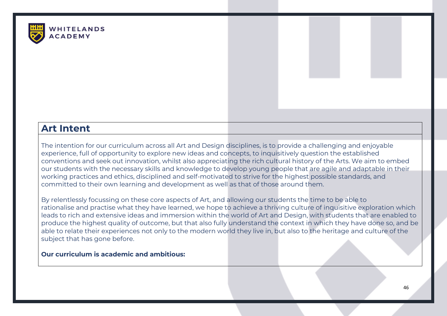

### **Art Intent**

The intention for our curriculum across all Art and Design disciplines, is to provide a challenging and enjoyable experience, full of opportunity to explore new ideas and concepts, to inquisitively question the established conventions and seek out innovation, whilst also appreciating the rich cultural history of the Arts. We aim to embed our students with the necessary skills and knowledge to develop young people that are agile and adaptable in their working practices and ethics, disciplined and self-motivated to strive for the highest possible standards, and committed to their own learning and development as well as that of those around them.

By relentlessly focussing on these core aspects of Art, and allowing our students the time to be able to rationalise and practise what they have learned, we hope to achieve a thriving culture of inquisitive exploration which leads to rich and extensive ideas and immersion within the world of Art and Design, with students that are enabled to produce the highest quality of outcome, but that also fully understand the context in which they have done so, and be able to relate their experiences not only to the modern world they live in, but also to the heritage and culture of the subject that has gone before.

#### **Our curriculum is academic and ambitious:**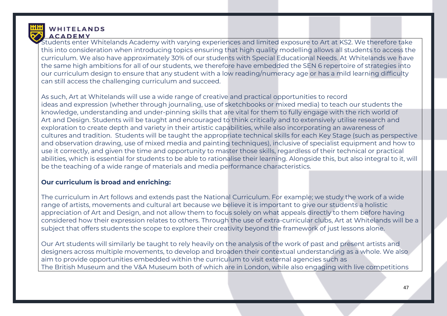

Students enter Whitelands Academy with varying experiences and limited exposure to Art at KS2. We therefore take this into consideration when introducing topics ensuring that high quality modelling allows all students to access the curriculum. We also have approximately 30% of our students with Special Educational Needs. At Whitelands we have the same high ambitions for all of our students, we therefore have embedded the SEN 6 repertoire of strategies into our curriculum design to ensure that any student with a low reading/numeracy age or has a mild learning difficulty can still access the challenging curriculum and succeed.

As such, Art at Whitelands will use a wide range of creative and practical opportunities to record ideas and expression (whether through journaling, use of sketchbooks or mixed media) to teach our students the knowledge, understanding and under-pinning skills that are vital for them to fully engage with the rich world of Art and Design. Students will be taught and encouraged to think critically and to extensively utilise research and exploration to create depth and variety in their artistic capabilities, while also incorporating an awareness of cultures and tradition. Students will be taught the appropriate technical skills for each Key Stage (such as perspective and observation drawing, use of mixed media and painting techniques), inclusive of specialist equipment and how to use it correctly, and given the time and opportunity to master those skills, regardless of their technical or practical abilities, which is essential for students to be able to rationalise their learning. Alongside this, but also integral to it, will be the teaching of a wide range of materials and media performance characteristics.

#### **Our curriculum is broad and enriching:**

The curriculum in Art follows and extends past the National Curriculum. For example; we study the work of a wide range of artists, movements and cultural art because we believe it is important to give our students a holistic appreciation of Art and Design, and not allow them to focus solely on what appeals directly to them before having considered how their expression relates to others. Through the use of extra-curricular clubs, Art at Whitelands will be a subject that offers students the scope to explore their creativity beyond the framework of just lessons alone.

Our Art students will similarly be taught to rely heavily on the analysis of the work of past and present artists and designers across multiple movements, to develop and broaden their contextual understanding as a whole. We also aim to provide opportunities embedded within the curriculum to visit external agencies such as The British Museum and the V&A Museum both of which are in London, while also engaging with live competitions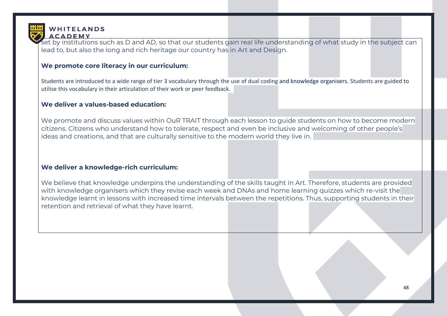

set by institutions such as D and AD, so that our students gain real life understanding of what study in the subject can lead to, but also the long and rich heritage our country has in Art and Design.

#### **We promote core literacy in our curriculum:**

Students are introduced to a wide range of tier 3 vocabulary through the use of dual coding and knowledge organisers. Students are guided to utilise this vocabulary in their articulation of their work or peer feedback.

#### **We deliver a values-based education:**

We promote and discuss values within OuR TRAIT through each lesson to quide students on how to become modern citizens. Citizens who understand how to tolerate, respect and even be inclusive and welcoming of other people's ideas and creations, and that are culturally sensitive to the modern world they live in.

#### **We deliver a knowledge-rich curriculum:**

We believe that knowledge underpins the understanding of the skills taught in Art. Therefore, students are provided with knowledge organisers which they revise each week and DNAs and home learning quizzes which re-visit the knowledge learnt in lessons with increased time intervals between the repetitions. Thus, supporting students in their retention and retrieval of what they have learnt.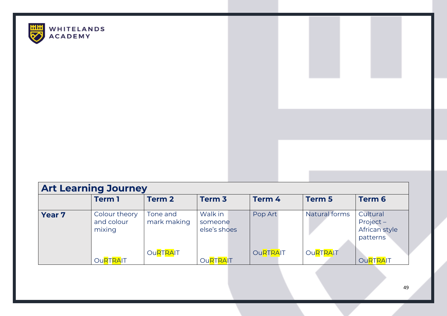

| <b>Art Learning Journey</b> |                                       |                         |                                    |                 |                   |                                                      |  |
|-----------------------------|---------------------------------------|-------------------------|------------------------------------|-----------------|-------------------|------------------------------------------------------|--|
|                             | <b>Term1</b>                          | <b>Term 2</b>           | Term <sub>3</sub>                  | Term 4          | Term <sub>5</sub> | Term 6                                               |  |
| <b>Year 7</b>               | Colour theory<br>and colour<br>mixing | Tone and<br>mark making | Walk in<br>someone<br>else's shoes | Pop Art         | Natural forms     | Cultural<br>$Project -$<br>African style<br>patterns |  |
|                             | <b>OURTRAIT</b>                       | <b>OURTRAIT</b>         | <b>OURTRAIT</b>                    | <b>OuRTRAIT</b> | OuRTRAIT          | <b>OURTRAIT</b>                                      |  |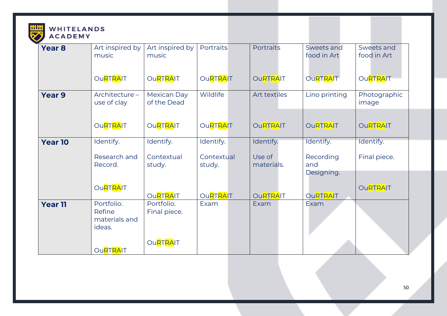

# WHITELANDS

| <b>Year 8</b>  | Art inspired by<br>music                        | Art inspired by<br>music   | <b>Portraits</b>     | Portraits            | Sweets and<br>food in Art | Sweets and<br>food in Art |
|----------------|-------------------------------------------------|----------------------------|----------------------|----------------------|---------------------------|---------------------------|
|                | OuRTRAIT                                        | <b>OURTRAIT</b>            | OuRTRAIT             | <b>OURTRAIT</b>      | Ou <mark>RTRA</mark> IT   | OuRTRAIT                  |
| <b>Year 9</b>  | Architecture -<br>use of clay                   | Mexican Day<br>of the Dead | Wildlife             | Art textiles         | Lino printing             | Photographic<br>image     |
|                | <b>OuRTRAIT</b>                                 | <b>OuRTRAIT</b>            | <b>OURTRAIT</b>      | <b>OuRTRAIT</b>      | <b>OURTRAIT</b>           | <b>OURTRAIT</b>           |
| <b>Year 10</b> | Identify.                                       | Identify.                  | Identify.            | Identify.            | Identify.                 | Identify.                 |
|                | Research and<br>Record.                         | Contextual<br>study.       | Contextual<br>study. | Use of<br>materials. | Recording<br>and          | Final piece.              |
|                | <b>OURTRAIT</b>                                 | <b>OuRTRAIT</b>            | <b>OURTRAIT</b>      | <b>OuRTRAIT</b>      | Designing.<br>OuRTRAIT    | <b>OURTRAIT</b>           |
| <b>Year 11</b> | Portfolio.<br>Refine<br>materials and<br>ideas. | Portfolio.<br>Final piece. | Exam                 | Exam                 | Exam                      |                           |
|                | <b>OuRTRAIT</b>                                 | <b>OuRTRAIT</b>            |                      |                      |                           |                           |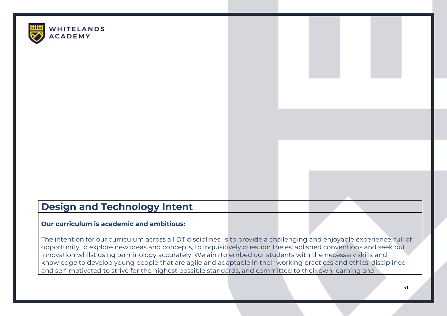

## **Design and Technology Intent**

#### **Our curriculum is academic and ambitious:**

The intention for our curriculum across all DT disciplines, is to provide a challenging and enjoyable experience, full of opportunity to explore new ideas and concepts, to inquisitively question the established conventions and seek out innovation whilst using terminology accurately. We aim to embed our students with the necessary skills and knowledge to develop young people that are agile and adaptable in their working practices and ethics, disciplined and self-motivated to strive for the highest possible standards, and committed to their own learning and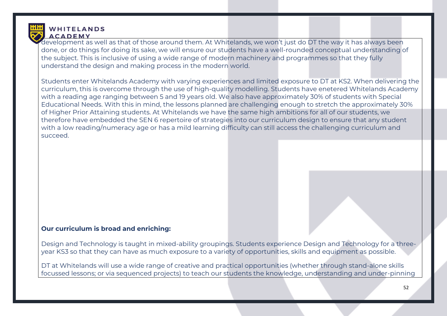

development as well as that of those around them. At Whitelands, we won't just do DT the way it has always been done, or do things for doing its sake, we will ensure our students have a well-rounded conceptual understanding of the subject. This is inclusive of using a wide range of modern machinery and programmes so that they fully understand the design and making process in the modern world.

Students enter Whitelands Academy with varying experiences and limited exposure to DT at KS2. When delivering the curriculum, this is overcome through the use of high-quality modelling. Students have enetered Whitelands Academy with a reading age ranging between 5 and 19 years old. We also have approximately 30% of students with Special Educational Needs. With this in mind, the lessons planned are challenging enough to stretch the approximately 30% of Higher Prior Attaining students. At Whitelands we have the same high ambitions for all of our students, we therefore have embedded the SEN 6 repertoire of strategies into our curriculum design to ensure that any student with a low reading/numeracy age or has a mild learning difficulty can still access the challenging curriculum and succeed.

#### **Our curriculum is broad and enriching:**

Design and Technology is taught in mixed-ability groupings. Students experience Design and Technology for a threeyear KS3 so that they can have as much exposure to a variety of opportunities, skills and equipment as possible.

DT at Whitelands will use a wide range of creative and practical opportunities (whether through stand-alone skills focussed lessons; or via sequenced projects) to teach our students the knowledge, understanding and under-pinning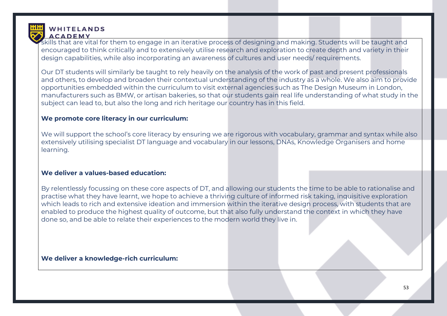

skills that are vital for them to engage in an iterative process of designing and making. Students will be taught and encouraged to think critically and to extensively utilise research and exploration to create depth and variety in their design capabilities, while also incorporating an awareness of cultures and user needs/ requirements.

Our DT students will similarly be taught to rely heavily on the analysis of the work of past and present professionals and others, to develop and broaden their contextual understanding of the industry as a whole. We also aim to provide opportunities embedded within the curriculum to visit external agencies such as The Design Museum in London, manufacturers such as BMW, or artisan bakeries, so that our students gain real life understanding of what study in the subject can lead to, but also the long and rich heritage our country has in this field.

#### **We promote core literacy in our curriculum:**

We will support the school's core literacy by ensuring we are rigorous with vocabulary, grammar and syntax while also extensively utilising specialist DT language and vocabulary in our lessons, DNAs, Knowledge Organisers and home learning.

#### **We deliver a values-based education:**

By relentlessly focussing on these core aspects of DT, and allowing our students the time to be able to rationalise and practise what they have learnt, we hope to achieve a thriving culture of informed risk taking, inquisitive exploration which leads to rich and extensive ideation and immersion within the iterative design process, with students that are enabled to produce the highest quality of outcome, but that also fully understand the context in which they have done so, and be able to relate their experiences to the modern world they live in.

#### **We deliver a knowledge-rich curriculum:**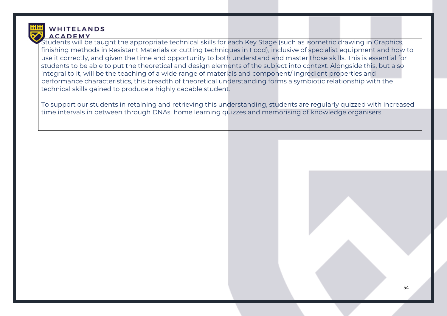

Students will be taught the appropriate technical skills for each Key Stage (such as isometric drawing in Graphics, finishing methods in Resistant Materials or cutting techniques in Food), inclusive of specialist equipment and how to use it correctly, and given the time and opportunity to both understand and master those skills. This is essential for students to be able to put the theoretical and design elements of the subject into context. Alongside this, but also integral to it, will be the teaching of a wide range of materials and component/ ingredient properties and performance characteristics, this breadth of theoretical understanding forms a symbiotic relationship with the technical skills gained to produce a highly capable student.

To support our students in retaining and retrieving this understanding, students are regularly quizzed with increased time intervals in between through DNAs, home learning quizzes and memorising of knowledge organisers.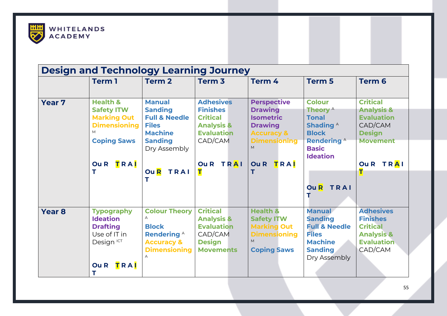

|               | <b>Design and Technology Learning Journey</b>                                                                    |                                                                                                                                                |                                                                                                                 |                                                                                                                            |                                                                                                                    |                                                                                                                 |
|---------------|------------------------------------------------------------------------------------------------------------------|------------------------------------------------------------------------------------------------------------------------------------------------|-----------------------------------------------------------------------------------------------------------------|----------------------------------------------------------------------------------------------------------------------------|--------------------------------------------------------------------------------------------------------------------|-----------------------------------------------------------------------------------------------------------------|
|               | <b>Term 1</b>                                                                                                    | <b>Term 2</b>                                                                                                                                  | Term <sub>3</sub>                                                                                               | Term 4                                                                                                                     | <b>Term 5</b>                                                                                                      | <b>Term 6</b>                                                                                                   |
| <b>Year 7</b> | <b>Health &amp;</b><br><b>Safety ITW</b><br><b>Marking Out</b><br><b>Dimensioning</b><br>M<br><b>Coping Saws</b> | <b>Manual</b><br><b>Sanding</b><br><b>Full &amp; Needle</b><br><b>Files</b><br><b>Machine</b><br><b>Sanding</b>                                | <b>Adhesives</b><br><b>Finishes</b><br><b>Critical</b><br><b>Analysis &amp;</b><br><b>Evaluation</b><br>CAD/CAM | <b>Perspective</b><br><b>Drawing</b><br><b>Isometric</b><br><b>Drawing</b><br><b>Accuracy &amp;</b><br><b>Dimensioning</b> | <b>Colour</b><br>Theory <sup>A</sup><br><b>Tonal</b><br>Shading <sup>A</sup><br><b>Block</b><br><b>Rendering A</b> | <b>Critical</b><br><b>Analysis &amp;</b><br><b>Evaluation</b><br>CAD/CAM<br><b>Design</b><br><b>Movement</b>    |
|               | <b>Ou R</b><br>TRAI                                                                                              | Dry Assembly<br>TRAI<br>Ou R                                                                                                                   | OUR TRAI                                                                                                        | <b>Ou R</b><br>TRAI                                                                                                        | <b>Basic</b><br><b>Ideation</b><br>OuR TRAI                                                                        | OUR TRAI                                                                                                        |
| <b>Year 8</b> | <b>Typography</b><br><b>Ideation</b><br><b>Drafting</b><br>Use of IT in<br>Design ICT                            | <b>Colour Theory</b><br>$\overline{A}$<br><b>Block</b><br><b>Rendering A</b><br><b>Accuracy &amp;</b><br><b>Dimensioning</b><br>$\overline{A}$ | <b>Critical</b><br><b>Analysis &amp;</b><br><b>Evaluation</b><br>CAD/CAM<br><b>Design</b><br><b>Movements</b>   | <b>Health &amp;</b><br><b>Safety ITW</b><br><b>Marking Out</b><br><b>Dimensioning</b><br>M<br><b>Coping Saws</b>           | <b>Manual</b><br><b>Sanding</b><br><b>Full &amp; Needle</b><br><b>Files</b><br><b>Machine</b><br><b>Sanding</b>    | <b>Adhesives</b><br><b>Finishes</b><br><b>Critical</b><br><b>Analysis &amp;</b><br><b>Evaluation</b><br>CAD/CAM |
|               | <b>Ou R</b><br>TRAI<br>т                                                                                         |                                                                                                                                                |                                                                                                                 |                                                                                                                            | Dry Assembly                                                                                                       |                                                                                                                 |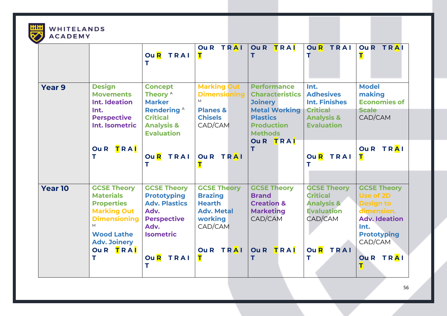

# WHITELANDS

|                |                                                                                                                                                                            | OuR TRAI                                                                                                                                      | OUR TRAI<br>т                                                                                                                              | TRAI<br><b>Ou R</b><br>т                                                                                                                         | OuR TRAI                                                                                                              | OUR TRAI<br>т                                                                                                                                       |
|----------------|----------------------------------------------------------------------------------------------------------------------------------------------------------------------------|-----------------------------------------------------------------------------------------------------------------------------------------------|--------------------------------------------------------------------------------------------------------------------------------------------|--------------------------------------------------------------------------------------------------------------------------------------------------|-----------------------------------------------------------------------------------------------------------------------|-----------------------------------------------------------------------------------------------------------------------------------------------------|
| <b>Year 9</b>  | <b>Design</b><br><b>Movements</b><br>Int. Ideation<br>Int.<br><b>Perspective</b><br>Int. Isometric                                                                         | <b>Concept</b><br>Theory <sup>A</sup><br><b>Marker</b><br><b>Rendering A</b><br><b>Critical</b><br><b>Analysis &amp;</b><br><b>Evaluation</b> | <b>Marking Out</b><br><b>Dimensioning</b><br>M<br><b>Planes &amp;</b><br><b>Chisels</b><br>CAD/CAM                                         | <b>Performance</b><br><b>Characteristics</b><br><b>Joinery</b><br><b>Metal Working</b><br><b>Plastics</b><br><b>Production</b><br><b>Methods</b> | Int.<br><b>Adhesives</b><br><b>Int. Finishes</b><br><b>Critical</b><br><b>Analysis &amp;</b><br><b>Evaluation</b>     | <b>Model</b><br>making<br><b>Economies of</b><br><b>Scale</b><br>CAD/CAM                                                                            |
|                | <b>Ou R</b><br>TRAI<br>т                                                                                                                                                   | OuR TRAI                                                                                                                                      | OUR TRAI                                                                                                                                   | Ou R TRAI<br>T                                                                                                                                   | Ou R<br>TRAI                                                                                                          | <b>TRAI</b><br><b>Ou R</b><br>т                                                                                                                     |
| <b>Year 10</b> | <b>GCSE Theory</b><br><b>Materials</b><br><b>Properties</b><br><b>Marking Out</b><br><b>Dimensioning</b><br>M<br><b>Wood Lathe</b><br><b>Adv. Joinery</b><br>OUR TRAI<br>т | <b>GCSE Theory</b><br><b>Prototyping</b><br><b>Adv. Plastics</b><br>Adv.<br><b>Perspective</b><br>Adv.<br><b>Isometric</b><br>OuR TRAI<br>т   | <b>GCSE Theory</b><br><b>Brazing</b><br><b>Hearth</b><br><b>Adv. Metal</b><br><b>working</b><br>CAD/CAM<br><b>TRAI</b><br><b>Ou R</b><br>т | <b>GCSE Theory</b><br><b>Brand</b><br><b>Creation &amp;</b><br><b>Marketing</b><br>CAD/CAM<br>TRAI<br><b>Ou R</b>                                | <b>GCSE Theory</b><br><b>Critical</b><br><b>Analysis &amp;</b><br><b>Evaluation</b><br>CAD/CAM<br>Ou R<br><b>TRAI</b> | <b>GCSE Theory</b><br>Use of 2D<br><b>Design to</b><br>dimension.<br><b>Adv. Ideation</b><br>Int.<br><b>Prototyping</b><br>CAD/CAM<br>OUR TRAI<br>т |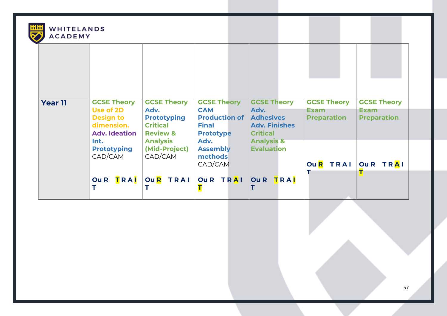

| <b>Year 11</b> | <b>GCSE Theory</b><br>Use of 2D<br><b>Design to</b><br>dimension.<br><b>Adv. Ideation</b> | <b>GCSE Theory</b><br>Adv.<br><b>Prototyping</b><br><b>Critical</b><br><b>Review &amp;</b> | <b>GCSE Theory</b><br><b>CAM</b><br><b>Production of</b><br><b>Final</b><br><b>Prototype</b> | <b>GCSE Theory</b><br>Adv.<br><b>Adhesives</b><br><b>Adv. Finishes</b><br><b>Critical</b> | <b>GCSE Theory</b><br><b>Exam</b><br><b>Preparation</b> | <b>GCSE Theory</b><br><b>Exam</b><br><b>Preparation</b> |
|----------------|-------------------------------------------------------------------------------------------|--------------------------------------------------------------------------------------------|----------------------------------------------------------------------------------------------|-------------------------------------------------------------------------------------------|---------------------------------------------------------|---------------------------------------------------------|
|                | Int.<br><b>Prototyping</b><br>CAD/CAM                                                     | <b>Analysis</b><br>(Mid-Project)<br>CAD/CAM                                                | Adv.<br><b>Assembly</b><br>methods<br>CAD/CAM                                                | <b>Analysis &amp;</b><br><b>Evaluation</b>                                                | TRAI<br><b>Ou</b> <sub>R</sub>                          | <b>Ou R</b><br><b>TRAI</b>                              |
|                | TRAI<br><b>Ou R</b>                                                                       | OuR TRAI                                                                                   | OUR TRAI                                                                                     | <b>Ou R</b><br>TRAI                                                                       |                                                         |                                                         |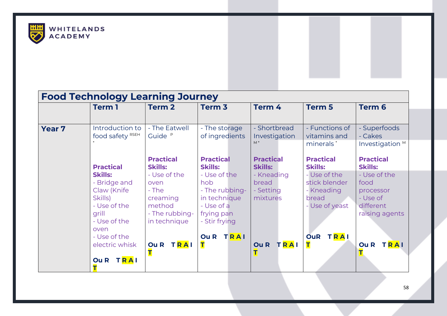

|               | <b>Food Technology Learning Journey</b>                                                                   |                                                                                       |                                                                                                    |                                              |                                                                        |                                                                              |
|---------------|-----------------------------------------------------------------------------------------------------------|---------------------------------------------------------------------------------------|----------------------------------------------------------------------------------------------------|----------------------------------------------|------------------------------------------------------------------------|------------------------------------------------------------------------------|
|               | <b>Term 1</b>                                                                                             | <b>Term 2</b>                                                                         | Term <sub>3</sub>                                                                                  | Term 4                                       | <b>Term 5</b>                                                          | <b>Term 6</b>                                                                |
| <b>Year 7</b> | Introduction to<br>food safety RSEH                                                                       | - The Eatwell<br>- The storage<br>Guide <sup>P</sup><br>of ingredients                |                                                                                                    | - Shortbread<br>Investigation<br>$M^*$       | - Functions of<br>vitamins and<br>minerals <sup>*</sup>                | - Superfoods<br>- Cakes<br>Investigation <sup>M</sup>                        |
|               | <b>Practical</b>                                                                                          | <b>Practical</b><br><b>Skills:</b>                                                    |                                                                                                    | <b>Practical</b><br><b>Skills:</b>           | <b>Practical</b><br><b>Skills:</b>                                     | <b>Practical</b><br><b>Skills:</b>                                           |
|               | <b>Skills:</b><br>- Bridge and<br>Claw (Knife<br>Skills)<br>- Use of the<br>grill<br>- Use of the<br>oven | - Use of the<br>oven<br>- The<br>creaming<br>method<br>- The rubbing-<br>in technique | - Use of the<br>hob<br>- The rubbing-<br>in technique<br>- Use of a<br>frying pan<br>- Stir frying | - Kneading<br>bread<br>- Setting<br>mixtures | - Use of the<br>stick blender<br>- Kneading<br>bread<br>- Use of yeast | - Use of the<br>food<br>processor<br>- Use of<br>different<br>raising agents |
|               | - Use of the<br>electric whisk<br>OUR TRAI                                                                | <b>Ou R</b><br>TRAI                                                                   | <b>TRAI</b><br><b>Ou R</b><br>т                                                                    | TRAI<br><b>Ou R</b>                          | <b>TRAI</b><br><b>OuR</b><br>т                                         | <b>Ou R</b><br><b>TRAI</b>                                                   |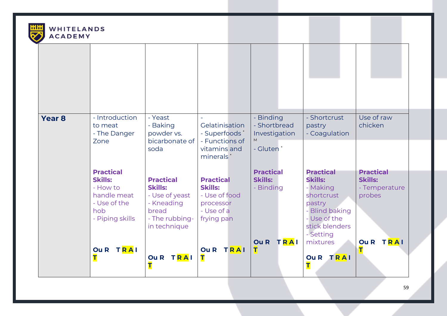

## WHITELANDS<br>ACADEMY

| <b>Year 8</b> | - Introduction                                                                                          | - Yeast                                                                                                       |                                                                                              | - Binding                                       | - Shortcrust                                                                                                                            | Use of raw                                                    |
|---------------|---------------------------------------------------------------------------------------------------------|---------------------------------------------------------------------------------------------------------------|----------------------------------------------------------------------------------------------|-------------------------------------------------|-----------------------------------------------------------------------------------------------------------------------------------------|---------------------------------------------------------------|
|               | to meat<br>- The Danger<br>Zone                                                                         | - Baking<br>powder vs.<br>bicarbonate of<br>soda                                                              | Gelatinisation<br>- Superfoods*<br>- Functions of<br>vitamins and<br>minerals <sup>*</sup>   | - Shortbread<br>Investigation<br>M<br>- Gluten* | pastry<br>- Coagulation                                                                                                                 | chicken                                                       |
|               | <b>Practical</b><br><b>Skills:</b><br>- How to<br>handle meat<br>- Use of the<br>hob<br>- Piping skills | <b>Practical</b><br><b>Skills:</b><br>- Use of yeast<br>- Kneading<br>bread<br>- The rubbing-<br>in technique | <b>Practical</b><br><b>Skills:</b><br>- Use of food<br>processor<br>- Use of a<br>frying pan | <b>Practical</b><br><b>Skills:</b><br>- Binding | <b>Practical</b><br><b>Skills:</b><br>- Making<br>shortcrust<br>pastry<br>- Blind baking<br>- Use of the<br>stick blenders<br>- Setting | <b>Practical</b><br><b>Skills:</b><br>- Temperature<br>probes |
|               | Ou R T R A I                                                                                            | Ou R T R A I                                                                                                  | <b>TRAI</b><br><b>Ou R</b><br>П                                                              | Ou R TRAI<br>т                                  | mixtures<br>Ou R TRAI                                                                                                                   | TRAI<br><b>Ou R</b>                                           |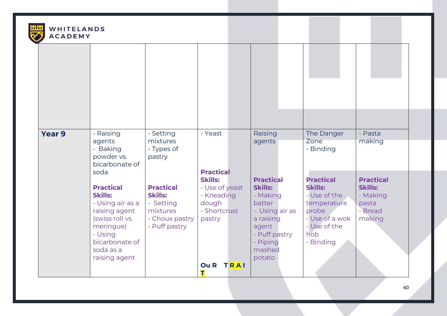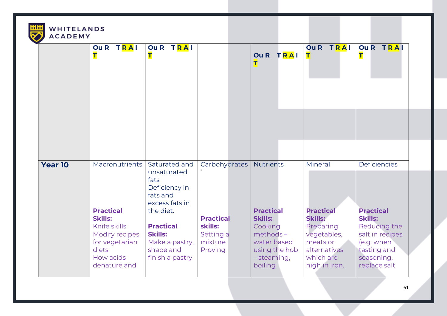| <b>WHITELANDS</b><br><b>ACADEMY</b> |                                                                                                                                                       |                                                                                                                                                                                          |                                                                                 |  |                                                                                                                                            |                                                                                                                                     |                                                                                                                                                         |  |
|-------------------------------------|-------------------------------------------------------------------------------------------------------------------------------------------------------|------------------------------------------------------------------------------------------------------------------------------------------------------------------------------------------|---------------------------------------------------------------------------------|--|--------------------------------------------------------------------------------------------------------------------------------------------|-------------------------------------------------------------------------------------------------------------------------------------|---------------------------------------------------------------------------------------------------------------------------------------------------------|--|
|                                     | <b>TRAI</b><br><b>Ou R</b><br>т                                                                                                                       | OUR TRAI<br>Τ                                                                                                                                                                            |                                                                                 |  | Ou R TRAI<br>т                                                                                                                             | Ou R T R A I<br>т                                                                                                                   | OUR TRAI<br>т                                                                                                                                           |  |
|                                     |                                                                                                                                                       |                                                                                                                                                                                          |                                                                                 |  |                                                                                                                                            |                                                                                                                                     |                                                                                                                                                         |  |
| <b>Year 10</b>                      | <b>Macronutrients</b><br><b>Practical</b><br><b>Skills:</b><br>Knife skills<br>Modify recipes<br>for vegetarian<br>diets<br>How acids<br>denature and | Saturated and<br>unsaturated<br>fats<br>Deficiency in<br>fats and<br>excess fats in<br>the diet.<br><b>Practical</b><br><b>Skills:</b><br>Make a pastry,<br>shape and<br>finish a pastry | Carbohydrates<br><b>Practical</b><br>skills:<br>Setting a<br>mixture<br>Proving |  | <b>Nutrients</b><br><b>Practical</b><br><b>Skills:</b><br>Cooking<br>$methods -$<br>water based<br>using the hob<br>- steaming,<br>boiling | Mineral<br><b>Practical</b><br><b>Skills:</b><br>Preparing<br>vegetables,<br>meats or<br>alternatives<br>which are<br>high in iron. | <b>Deficiencies</b><br><b>Practical</b><br><b>Skills:</b><br>Reducing the<br>salt in recipes<br>(e.g. when<br>tasting and<br>seasoning,<br>replace salt |  |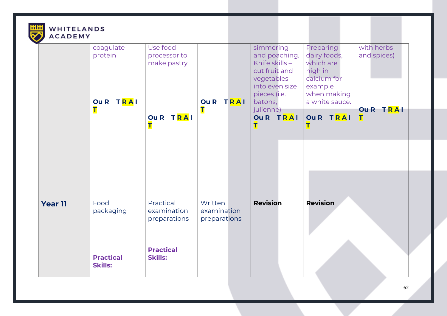| <b>WHITELANDS</b><br><b>ACADEMY</b> |                                        |                                          |                                        |                                                                                                                          |                                                                                                                     |                                       |  |
|-------------------------------------|----------------------------------------|------------------------------------------|----------------------------------------|--------------------------------------------------------------------------------------------------------------------------|---------------------------------------------------------------------------------------------------------------------|---------------------------------------|--|
|                                     | coagulate<br>protein<br>Ou R TRAI<br>т | Use food<br>processor to<br>make pastry  | OUR TRAI<br>т                          | simmering<br>and poaching.<br>Knife skills -<br>cut fruit and<br>vegetables<br>into even size<br>pieces (i.e.<br>batons, | <b>Preparing</b><br>dairy foods,<br>which are<br>high in<br>calcium for<br>example<br>when making<br>a white sauce. | with herbs<br>and spices)<br>OUR TRAI |  |
|                                     |                                        | Ou R TRAI<br>Τ                           |                                        | julienne)<br>OUR TRAI<br>т                                                                                               | OUR TRAI<br>т                                                                                                       | т                                     |  |
|                                     |                                        |                                          |                                        |                                                                                                                          |                                                                                                                     |                                       |  |
| <b>Year 11</b>                      | Food<br>packaging                      | Practical<br>examination<br>preparations | Written<br>examination<br>preparations | <b>Revision</b>                                                                                                          | <b>Revision</b>                                                                                                     |                                       |  |
|                                     | <b>Practical</b><br><b>Skills:</b>     | <b>Practical</b><br><b>Skills:</b>       |                                        |                                                                                                                          |                                                                                                                     |                                       |  |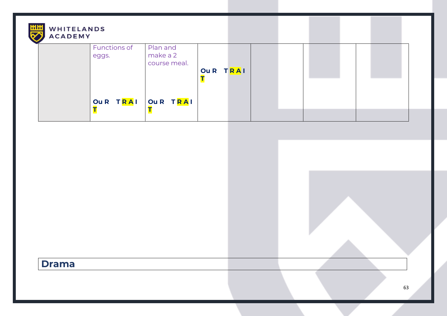| <b>HHH</b><br><b>WHITELANDS</b><br>☞<br><b>ACADEMY</b> |                                      |              |  |  |  |  |
|--------------------------------------------------------|--------------------------------------|--------------|--|--|--|--|
| <b>Functions of</b><br>eggs.                           | Plan and<br>make a 2<br>course meal. | Ou R T R A I |  |  |  |  |
| Ou R T R A I                                           | Ou R T R A I                         |              |  |  |  |  |

## **Drama**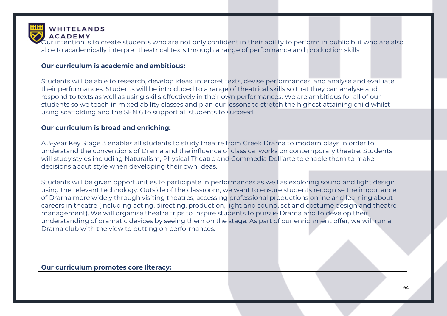

Our intention is to create students who are not only confident in their ability to perform in public but who are also able to academically interpret theatrical texts through a range of performance and production skills.

#### **Our curriculum is academic and ambitious:**

Students will be able to research, develop ideas, interpret texts, devise performances, and analyse and evaluate their performances. Students will be introduced to a range of theatrical skills so that they can analyse and respond to texts as well as using skills effectively in their own performances. We are ambitious for all of our students so we teach in mixed ability classes and plan our lessons to stretch the highest attaining child whilst using scaffolding and the SEN 6 to support all students to succeed.

#### **Our curriculum is broad and enriching:**

A 3-year Key Stage 3 enables all students to study theatre from Greek Drama to modern plays in order to understand the conventions of Drama and the influence of classical works on contemporary theatre. Students will study styles including Naturalism, Physical Theatre and Commedia Dell'arte to enable them to make decisions about style when developing their own ideas.

Students will be given opportunities to participate in performances as well as exploring sound and light design using the relevant technology. Outside of the classroom, we want to ensure students recognise the importance of Drama more widely through visiting theatres, accessing professional productions online and learning about careers in theatre (including acting, directing, production, light and sound, set and costume design and theatre management). We will organise theatre trips to inspire students to pursue Drama and to develop their understanding of dramatic devices by seeing them on the stage. As part of our enrichment offer, we will run a Drama club with the view to putting on performances.

#### **Our curriculum promotes core literacy:**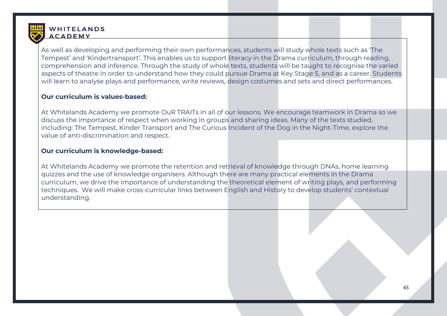

As well as developing and performing their own performances, students will study whole texts such as 'The Tempest' and 'Kindertransport'. This enables us to support literacy in the Drama curriculum, through reading, comprehension and inference. Through the study of whole texts, students will be taught to recognise the varied aspects of theatre in order to understand how they could pursue Drama at Key Stage 5, and as a career. Students will learn to analyse plays and performance, write reviews, design costumes and sets and direct performances.

#### **Our curriculum is values-based:**

At Whitelands Academy we promote OuR TRAITs in all of our lessons. We encourage teamwork in Drama so we discuss the importance of respect when working in groups and sharing ideas. Many of the texts studied, including: The Tempest, Kinder Transport and The Curious Incident of the Dog in the Night-Time, explore the value of anti-discrimination and respect.

#### **Our curriculum is knowledge-based:**

At Whitelands Academy we promote the retention and retrieval of knowledge through DNAs, home learning quizzes and the use of knowledge organisers. Although there are many practical elements in the Drama curriculum, we drive the importance of understanding the theoretical element of writing plays, and performing techniques. We will make cross-curricular links between English and History to develop students' contextual understanding.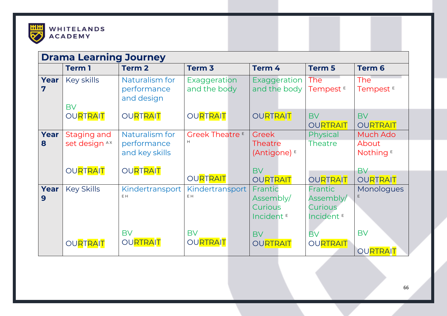

|           | <b>Drama Learning Journey</b> |                                                 |                                     |                                                             |                                                                 |                                           |
|-----------|-------------------------------|-------------------------------------------------|-------------------------------------|-------------------------------------------------------------|-----------------------------------------------------------------|-------------------------------------------|
|           | <b>Term 1</b>                 | <b>Term 2</b>                                   | Term <sub>3</sub>                   | Term 4                                                      | <b>Term 5</b>                                                   | Term 6                                    |
| Year<br>7 | Key skills<br><b>BV</b>       | Naturalism for<br>performance<br>and design     | <b>Exaggeration</b><br>and the body | <b>Exaggeration</b><br>and the body                         | <b>The</b><br>Tempest <sup>E</sup>                              | <b>The</b><br>Tempest <sup>E</sup>        |
|           | <b>OURTRAIT</b>               | <b>OURTRAIT</b>                                 | <b>OURTRAIT</b>                     | <b>OURTRAIT</b>                                             | <b>BV</b><br><b>OURTRAIT</b>                                    | <b>BV</b><br><b>OURTRAIT</b>              |
| Year<br>8 | Staging and<br>set design AX  | Naturalism for<br>performance<br>and key skills | Greek Theatre <sup>E</sup><br>Н     | <b>Greek</b><br><b>Theatre</b><br>$(Antigone)$ <sup>E</sup> | Physical<br><b>Theatre</b>                                      | Much Ado<br>About<br>Nothing <sup>E</sup> |
|           | <b>OURTRAIT</b>               | <b>OURTRAIT</b>                                 | <b>OURTRAIT</b>                     | <b>BV</b><br><b>OURTRAIT</b>                                | <b>OURTRAIT</b>                                                 | <b>BV</b><br><b>OURTRAIT</b>              |
| Year<br>9 | <b>Key Skills</b>             | Kindertransport<br>E H                          | Kindertransport<br>E H              | Frantic<br>Assembly/<br>Curious<br>Incident <sup>E</sup>    | Frantic<br>Assembly/<br><b>Curious</b><br>Incident <sup>E</sup> | Monologues                                |
|           | <b>OURTRAIT</b>               | <b>BV</b><br><b>OURTRAIT</b>                    | <b>BV</b><br><b>OURTRAIT</b>        | <b>BV</b><br><b>OURTRAIT</b>                                | <b>BV</b><br><b>OURTRAIT</b>                                    | <b>BV</b><br><b>OURTRAIT</b>              |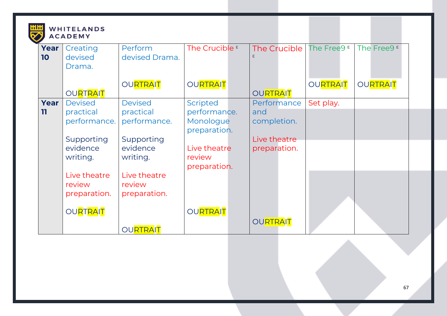

## **HIH** WHITELANDS

| Year<br>10 | Creating<br>devised<br>Drama.          | Perform<br>devised Drama.              | The Crucible <sup>E</sup>                 | The Crucible<br>E            | The Free9 <sup>E</sup> | The Free9 <sup>E</sup> |
|------------|----------------------------------------|----------------------------------------|-------------------------------------------|------------------------------|------------------------|------------------------|
|            | <b>OURTRAIT</b>                        | <b>OURTRAIT</b>                        | <b>OURTRAIT</b>                           | <b>OURTRAIT</b>              | <b>OURTRAIT</b>        | <b>OURTRAIT</b>        |
| Year       | <b>Devised</b>                         | <b>Devised</b>                         | Scripted                                  | Performance                  | Set play.              |                        |
| 11         | practical<br>performance.              | practical<br>performance.              | performance.<br>Monologue<br>preparation. | and<br>completion.           |                        |                        |
|            | Supporting<br>evidence<br>writing.     | Supporting<br>evidence<br>writing.     | Live theatre<br>review<br>preparation.    | Live theatre<br>preparation. |                        |                        |
|            | Live theatre<br>review<br>preparation. | Live theatre<br>review<br>preparation. |                                           |                              |                        |                        |
|            | <b>OURTRAIT</b>                        | <b>OURTRAIT</b>                        | <b>OURTRAIT</b>                           | <b>OURTRAIT</b>              |                        |                        |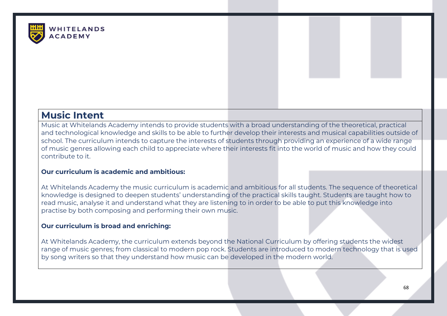

## **Music Intent**

Music at Whitelands Academy intends to provide students with a broad understanding of the theoretical, practical and technological knowledge and skills to be able to further develop their interests and musical capabilities outside of school. The curriculum intends to capture the interests of students through providing an experience of a wide range of music genres allowing each child to appreciate where their interests fit into the world of music and how they could contribute to it.

#### **Our curriculum is academic and ambitious:**

At Whitelands Academy the music curriculum is academic and ambitious for all students. The sequence of theoretical knowledge is designed to deepen students' understanding of the practical skills taught. Students are taught how to read music, analyse it and understand what they are listening to in order to be able to put this knowledge into practise by both composing and performing their own music.

#### **Our curriculum is broad and enriching:**

At Whitelands Academy, the curriculum extends beyond the National Curriculum by offering students the widest range of music genres; from classical to modern pop rock. Students are introduced to modern technology that is used by song writers so that they understand how music can be developed in the modern world.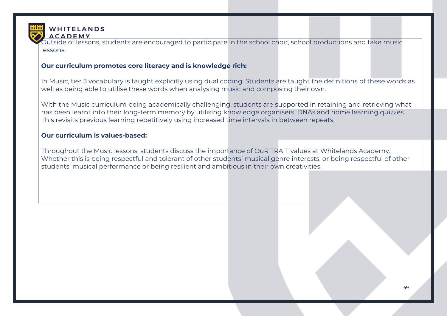

Outside of lessons, students are encouraged to participate in the school choir, school productions and take music lessons.

#### **Our curriculum promotes core literacy and is knowledge rich:**

In Music, tier 3 vocabulary is taught explicitly using dual coding. Students are taught the definitions of these words as well as being able to utilise these words when analysing music and composing their own.

With the Music curriculum being academically challenging, students are supported in retaining and retrieving what has been learnt into their long-term memory by utilising knowledge organisers, DNAs and home learning quizzes. This revisits previous learning repetitively using increased time intervals in between repeats.

#### **Our curriculum is values-based:**

Throughout the Music lessons, students discuss the importance of OuR TRAIT values at Whitelands Academy. Whether this is being respectful and tolerant of other students' musical genre interests, or being respectful of other students' musical performance or being resilient and ambitious in their own creativities.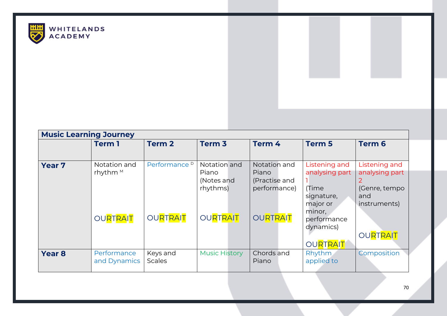

| <b>Music Learning Journey</b> |                             |                          |                                                 |                                                        |                                                                   |                                                         |
|-------------------------------|-----------------------------|--------------------------|-------------------------------------------------|--------------------------------------------------------|-------------------------------------------------------------------|---------------------------------------------------------|
|                               | Term 1                      | <b>Term 2</b>            | Term <sub>3</sub>                               | Term 4                                                 | <b>Term 5</b>                                                     | <b>Term 6</b>                                           |
|                               |                             |                          |                                                 |                                                        |                                                                   |                                                         |
| <b>Year 7</b>                 | Notation and<br>rhythm $M$  | Performance <sup>D</sup> | Notation and<br>Piano<br>(Notes and<br>rhythms) | Notation and<br>Piano<br>(Practise and<br>performance) | Listening and<br>analysing part<br>(Time<br>signature,            | Listening and<br>analysing part<br>(Genre, tempo<br>and |
|                               | <b>OURTRAIT</b>             | <b>OURTRAIT</b>          | <b>OURTRAIT</b>                                 | <b>OURTRAIT</b>                                        | major or<br>minor,<br>performance<br>dynamics)<br><b>OURTRAIT</b> | instruments)<br><b>OURTRAIT</b>                         |
| <b>Year 8</b>                 | Performance<br>and Dynamics | Keys and<br>Scales       | <b>Music History</b>                            | Chords and<br>Piano                                    | Rhythm<br>applied to                                              | Composition                                             |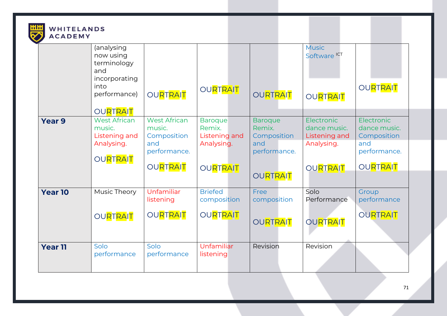

## WHITELANDS

| <b>ACADEMY</b> |                                                                                        |                                                     |                                                         |                                                |                                                            |                                                  |
|----------------|----------------------------------------------------------------------------------------|-----------------------------------------------------|---------------------------------------------------------|------------------------------------------------|------------------------------------------------------------|--------------------------------------------------|
|                | (analysing<br>now using<br>terminology<br>and<br>incorporating<br>into<br>performance) | <b>OURTRAIT</b>                                     | <b>OURTRAIT</b>                                         | <b>OURTRAIT</b>                                | <b>Music</b><br>Software <sup>ICT</sup><br><b>OURTRAIT</b> | <b>OURTRAIT</b>                                  |
|                | <b>OURTRAIT</b>                                                                        |                                                     |                                                         |                                                |                                                            |                                                  |
| <b>Year 9</b>  | <b>West African</b><br>music.<br>Listening and<br>Analysing.                           | <b>West African</b><br>music.<br>Composition<br>and | <b>Baroque</b><br>Remix.<br>Listening and<br>Analysing. | <b>Baroque</b><br>Remix.<br>Composition<br>and | Electronic<br>dance music.<br>Listening and<br>Analysing.  | Electronic<br>dance music.<br>Composition<br>and |
|                | <b>OURTRAIT</b>                                                                        | performance.<br><b>OURTRAIT</b>                     | <b>OURTRAIT</b>                                         | performance.                                   | <b>OURTRAIT</b>                                            | performance.<br><b>OURTRAIT</b>                  |
|                |                                                                                        |                                                     |                                                         | <b>OURTRAIT</b>                                |                                                            |                                                  |
| <b>Year 10</b> | Music Theory                                                                           | Unfamiliar<br>listening                             | <b>Briefed</b><br>composition                           | Free<br>composition                            | Solo<br>Performance                                        | Group<br>performance                             |
|                | <b>OURTRAIT</b>                                                                        | <b>OURTRAIT</b>                                     | <b>OURTRAIT</b>                                         | <b>OURTRAIT</b>                                | <b>OURTRAIT</b>                                            | <b>OURTRAIT</b>                                  |
| <b>Year 11</b> | Solo<br>performance                                                                    | Solo<br>performance                                 | Unfamiliar<br>listening                                 | Revision                                       | Revision                                                   |                                                  |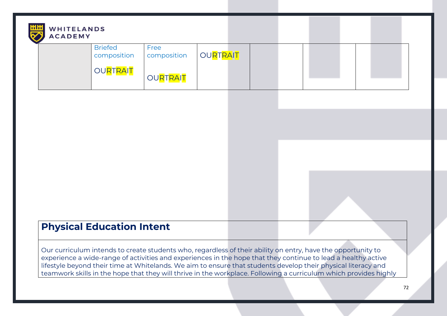| WHITELANDS<br><b>ACADEMY</b> |                               |                     |                 |  |  |  |  |
|------------------------------|-------------------------------|---------------------|-----------------|--|--|--|--|
|                              | <b>Briefed</b><br>composition | Free<br>composition | <b>OURTRAIT</b> |  |  |  |  |
|                              | <b>OURTRAIT</b>               | <b>OURTRAIT</b>     |                 |  |  |  |  |

## **Physical Education Intent**

Our curriculum intends to create students who, regardless of their ability on entry, have the opportunity to experience a wide-range of activities and experiences in the hope that they continue to lead a healthy active lifestyle beyond their time at Whitelands. We aim to ensure that students develop their physical literacy and teamwork skills in the hope that they will thrive in the workplace. Following a curriculum which provides highly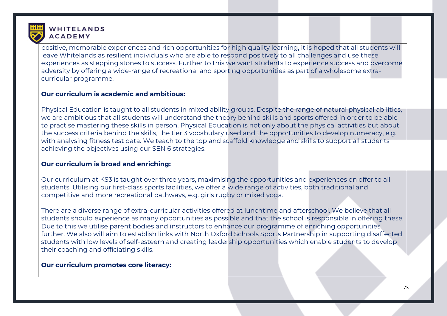

positive, memorable experiences and rich opportunities for high quality learning, it is hoped that all students will leave Whitelands as resilient individuals who are able to respond positively to all challenges and use these experiences as stepping stones to success. Further to this we want students to experience success and overcome adversity by offering a wide-range of recreational and sporting opportunities as part of a wholesome extracurricular programme.

# **Our curriculum is academic and ambitious:**

Physical Education is taught to all students in mixed ability groups. Despite the range of natural physical abilities, we are ambitious that all students will understand the theory behind skills and sports offered in order to be able to practise mastering these skills in person. Physical Education is not only about the physical activities but about the success criteria behind the skills, the tier 3 vocabulary used and the opportunities to develop numeracy, e.g. with analysing fitness test data. We teach to the top and scaffold knowledge and skills to support all students achieving the objectives using our SEN 6 strategies.

# **Our curriculum is broad and enriching:**

Our curriculum at KS3 is taught over three years, maximising the opportunities and experiences on offer to all students. Utilising our first-class sports facilities, we offer a wide range of activities, both traditional and competitive and more recreational pathways, e.g. girls rugby or mixed yoga.

There are a diverse range of extra-curricular activities offered at lunchtime and afterschool. We believe that all students should experience as many opportunities as possible and that the school is responsible in offering these. Due to this we utilise parent bodies and instructors to enhance our programme of enriching opportunities further. We also will aim to establish links with North Oxford Schools Sports Partnership in supporting disaffected students with low levels of self-esteem and creating leadership opportunities which enable students to develop their coaching and officiating skills.

# **Our curriculum promotes core literacy:**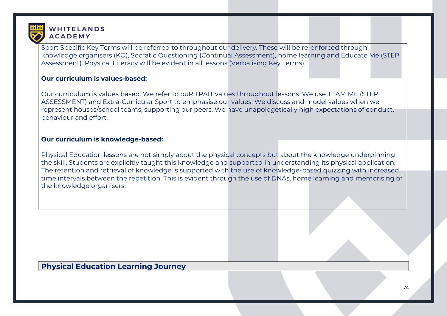

Sport Specific Key Terms will be referred to throughout our delivery. These will be re-enforced through knowledge organisers (KO), Socratic Questioning (Continual Assessment), home learning and Educate Me (STEP Assessment). Physical Literacy will be evident in all lessons (Verbalising Key Terms).

# **Our curriculum is values-based:**

Our curriculum is values based. We refer to ouR TRAIT values throughout lessons. We use TEAM ME (STEP ASSESSMENT) and Extra-Curricular Sport to emphasise our values. We discuss and model values when we represent houses/school teams, supporting our peers. We have unapologetically high expectations of conduct, behaviour and effort.

### **Our curriculum is knowledge-based:**

Physical Education lessons are not simply about the physical concepts but about the knowledge underpinning the skill. Students are explicitly taught this knowledge and supported in understanding its physical application. The retention and retrieval of knowledge is supported with the use of knowledge-based quizzing with increased time intervals between the repetition. This is evident through the use of DNAs, home learning and memorising of the knowledge organisers.

# **Physical Education Learning Journey**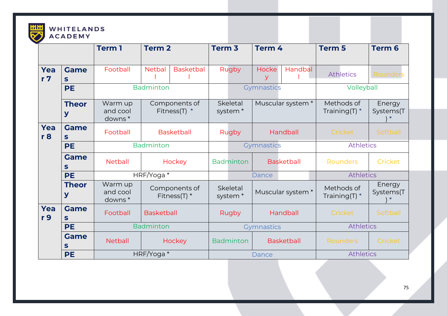

# WHITELANDS

|                       |                                         | <b>Term 1</b>                          | <b>Term 2</b>    |                                 | Term <sub>3</sub> |                                 | <b>Term 4</b> |                   | <b>Term 5</b>    |                                | Term 6                           |        |
|-----------------------|-----------------------------------------|----------------------------------------|------------------|---------------------------------|-------------------|---------------------------------|---------------|-------------------|------------------|--------------------------------|----------------------------------|--------|
| Yea<br>r <sub>7</sub> | <b>Game</b><br>S                        | Football                               | <b>Netbal</b>    | <b>Basketbal</b>                |                   | Rugby                           | Hocke<br>У    | Handbal           |                  | <b>Athletics</b>               | Rounders                         |        |
|                       | <b>PE</b>                               |                                        | <b>Badminton</b> |                                 |                   | Gymnastics                      |               |                   | Volleyball       |                                |                                  |        |
|                       | <b>Theor</b><br>$\overline{\mathbf{y}}$ | Warm up<br>and cool<br>downs*          |                  | Components of<br>Fitness(T) $*$ |                   | Skeletal<br>system <sup>*</sup> |               | Muscular system * |                  | Methods of<br>Training $(T)$ * | Energy<br>Systems(T<br>$\lambda$ |        |
| Yea<br>r8             | <b>Game</b><br>$\mathbf{s}$             | Football                               |                  | <b>Basketball</b>               |                   | Rugby<br>Handball               |               |                   | Cricket          | Softball                       |                                  |        |
|                       | <b>PE</b>                               | <b>Badminton</b>                       |                  | Gymnastics                      |                   |                                 |               | <b>Athletics</b>  |                  |                                |                                  |        |
|                       | <b>Game</b><br>$\mathbf{s}$             | <b>Netball</b>                         | Hockey           |                                 |                   | <b>Badminton</b>                |               | <b>Basketball</b> |                  | Rounders                       | Cricket                          |        |
|                       | <b>PE</b>                               |                                        | HRF/Yoga*        |                                 |                   | Dance                           |               |                   | <b>Athletics</b> |                                |                                  |        |
|                       | <b>Theor</b><br>$\overline{\mathsf{y}}$ | Warm up<br>and cool<br>downs*          |                  | Components of<br>Fitness(T) $*$ |                   | Skeletal<br>system <sup>*</sup> |               | Muscular system * |                  | Methods of<br>Training $(T)$ * | Energy<br>Systems(T              | $\ast$ |
| Yea<br>r 9            | <b>Game</b><br>S                        | Football<br><b>Basketball</b><br>Rugby |                  |                                 | Handball          |                                 |               | Cricket           | Softball         |                                |                                  |        |
|                       | <b>PE</b>                               |                                        | <b>Badminton</b> |                                 | <b>Gymnastics</b> |                                 |               | <b>Athletics</b>  |                  |                                |                                  |        |
|                       | <b>Game</b><br>$\mathbf{s}$             | <b>Netball</b>                         |                  | Hockey                          |                   | <b>Badminton</b>                |               | <b>Basketball</b> |                  | Rounders                       | Cricket                          |        |
|                       | <b>PE</b>                               |                                        | HRF/Yoga*        |                                 | Dance             |                                 |               | <b>Athletics</b>  |                  |                                |                                  |        |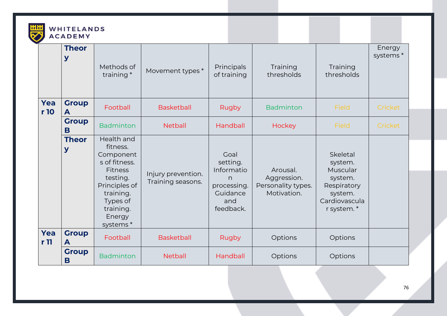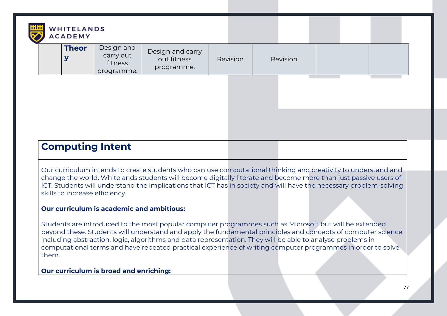

| $\cdots$     |                                                  |                                               |          |          |  |  |
|--------------|--------------------------------------------------|-----------------------------------------------|----------|----------|--|--|
| <b>Theor</b> | Design and<br>carry out<br>fitness<br>programme. | Design and carry<br>out fitness<br>programme. | Revision | Revision |  |  |
|              |                                                  |                                               |          |          |  |  |

# **Computing Intent**

Our curriculum intends to create students who can use computational thinking and creativity to understand and change the world. Whitelands students will become digitally literate and become more than just passive users of ICT. Students will understand the implications that ICT has in society and will have the necessary problem-solving skills to increase efficiency.

#### **Our curriculum is academic and ambitious:**

Students are introduced to the most popular computer programmes such as Microsoft but will be extended beyond these. Students will understand and apply the fundamental principles and concepts of computer science including abstraction, logic, algorithms and data representation. They will be able to analyse problems in computational terms and have repeated practical experience of writing computer programmes in order to solve them.

#### **Our curriculum is broad and enriching:**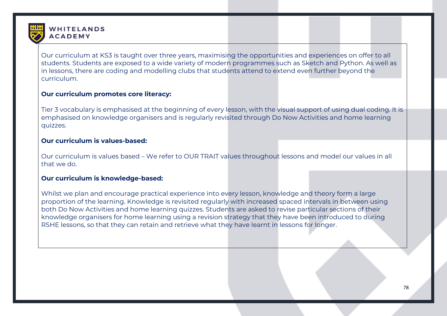

Our curriculum at KS3 is taught over three years, maximising the opportunities and experiences on offer to all students. Students are exposed to a wide variety of modern programmes such as Sketch and Python. As well as in lessons, there are coding and modelling clubs that students attend to extend even further beyond the curriculum.

### **Our curriculum promotes core literacy:**

Tier 3 vocabulary is emphasised at the beginning of every lesson, with the visual support of using dual coding. It is emphasised on knowledge organisers and is regularly revisited through Do Now Activities and home learning quizzes.

### **Our curriculum is values-based:**

Our curriculum is values based – We refer to OUR TRAIT values throughout lessons and model our values in all that we do.

# **Our curriculum is knowledge-based:**

Whilst we plan and encourage practical experience into every lesson, knowledge and theory form a large proportion of the learning. Knowledge is revisited regularly with increased spaced intervals in between using both Do Now Activities and home learning quizzes. Students are asked to revise particular sections of their knowledge organisers for home learning using a revision strategy that they have been introduced to during RSHE lessons, so that they can retain and retrieve what they have learnt in lessons for longer.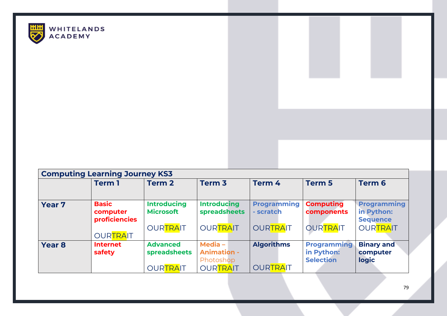

| <b>Computing Learning Journey KS3</b> |                                         |                                        |                                            |                                 |                                                      |                                        |  |  |  |  |  |
|---------------------------------------|-----------------------------------------|----------------------------------------|--------------------------------------------|---------------------------------|------------------------------------------------------|----------------------------------------|--|--|--|--|--|
|                                       | <b>Term 1</b>                           | <b>Term 2</b>                          | Term <sub>3</sub>                          | Term 4                          | <b>Term 5</b>                                        | <b>Term 6</b>                          |  |  |  |  |  |
| <b>Year 7</b>                         | <b>Basic</b><br>computer                | <b>Introducing</b><br><b>Microsoft</b> | <b>Introducing</b><br>spreadsheets         | <b>Programming</b><br>- scratch | <b>Computing</b><br>components                       | <b>Programming</b><br>in Python:       |  |  |  |  |  |
|                                       | <b>proficiencies</b><br><b>OURTRAIT</b> | <b>OURTRAIT</b>                        | <b>OURTRAIT</b>                            | <b>OURTRAIT</b>                 | <b>OURTRAIT</b>                                      | <b>Sequence</b><br><b>OURTRAIT</b>     |  |  |  |  |  |
| <b>Year 8</b>                         | <b>Internet</b><br>safety               | <b>Advanced</b><br>spreadsheets        | Media -<br><b>Animation -</b><br>Photoshop | <b>Algorithms</b>               | <b>Programming</b><br>in Python:<br><b>Selection</b> | <b>Binary and</b><br>computer<br>logic |  |  |  |  |  |
|                                       |                                         | <b>OURTRAIT</b>                        | <b>OURTRAIT</b>                            | <b>OURTRAIT</b>                 |                                                      |                                        |  |  |  |  |  |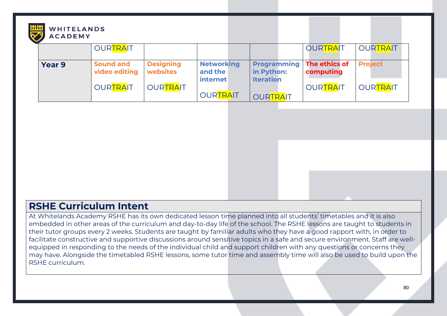| 覨<br><b>WHITELANDS</b><br><b>ACADEMY</b> |                                   |                              |                                                 |  |                                                      |  |                            |  |                 |
|------------------------------------------|-----------------------------------|------------------------------|-------------------------------------------------|--|------------------------------------------------------|--|----------------------------|--|-----------------|
|                                          | <b>OURTRAIT</b>                   |                              |                                                 |  |                                                      |  | <b>OURTRAIT</b>            |  | <b>OURTRAIT</b> |
| <b>Year 9</b>                            | <b>Sound and</b><br>video editing | <b>Designing</b><br>websites | <b>Networking</b><br>and the<br><i>internet</i> |  | <b>Programming</b><br>in Python:<br><b>Iteration</b> |  | The ethics of<br>computing |  | <b>Project</b>  |
|                                          | <b>OURTRAIT</b>                   | <b>OURTRAIT</b>              | <b>OURTRAIT</b>                                 |  | <b>OURTRAIT</b>                                      |  | <b>OURTRAIT</b>            |  | <b>OURTRAIT</b> |

# **RSHE Curriculum Intent**

At Whitelands Academy RSHE has its own dedicated lesson time planned into all students' timetables and it is also embedded in other areas of the curriculum and day-to-day life of the school. The RSHE lessons are taught to students in their tutor groups every 2 weeks. Students are taught by familiar adults who they have a good rapport with, in order to facilitate constructive and supportive discussions around sensitive topics in a safe and secure environment. Staff are wellequipped in responding to the needs of the individual child and support children with any questions or concerns they may have. Alongside the timetabled RSHE lessons, some tutor time and assembly time will also be used to build upon the RSHE curriculum.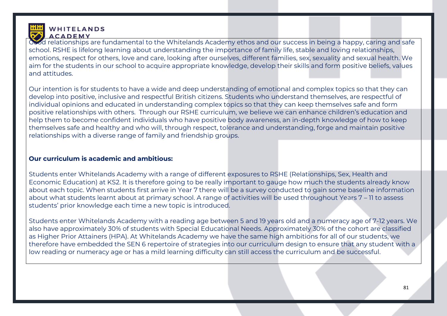

Good relationships are fundamental to the Whitelands Academy ethos and our success in being a happy, caring and safe school. RSHE is lifelong learning about understanding the importance of family life, stable and loving relationships, emotions, respect for others, love and care, looking after ourselves, different families, sex, sexuality and sexual health. We aim for the students in our school to acquire appropriate knowledge, develop their skills and form positive beliefs, values and attitudes.

Our intention is for students to have a wide and deep understanding of emotional and complex topics so that they can develop into positive, inclusive and respectful British citizens. Students who understand themselves, are respectful of individual opinions and educated in understanding complex topics so that they can keep themselves safe and form positive relationships with others. Through our RSHE curriculum, we believe we can enhance children's education and help them to become confident individuals who have positive body awareness, an in-depth knowledge of how to keep themselves safe and healthy and who will, through respect, tolerance and understanding, forge and maintain positive relationships with a diverse range of family and friendship groups.

#### **Our curriculum is academic and ambitious:**

Students enter Whitelands Academy with a range of different exposures to RSHE (Relationships, Sex, Health and Economic Education) at KS2. It is therefore going to be really important to gauge how much the students already know about each topic. When students first arrive in Year 7 there will be a survey conducted to gain some baseline information about what students learnt about at primary school. A range of activities will be used throughout Years 7 – 11 to assess students' prior knowledge each time a new topic is introduced.

Students enter Whitelands Academy with a reading age between 5 and 19 years old and a numeracy age of 7-12 years. We also have approximately 30% of students with Special Educational Needs. Approximately 30% of the cohort are classified as Higher Prior Attainers (HPA). At Whitelands Academy we have the same high ambitions for all of our students, we therefore have embedded the SEN 6 repertoire of strategies into our curriculum design to ensure that any student with a low reading or numeracy age or has a mild learning difficulty can still access the curriculum and be successful.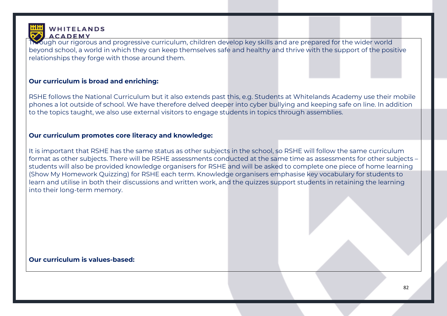

Through our rigorous and progressive curriculum, children develop key skills and are prepared for the wider world beyond school, a world in which they can keep themselves safe and healthy and thrive with the support of the positive relationships they forge with those around them.

# **Our curriculum is broad and enriching:**

RSHE follows the National Curriculum but it also extends past this, e.g. Students at Whitelands Academy use their mobile phones a lot outside of school. We have therefore delved deeper into cyber bullying and keeping safe on line. In addition to the topics taught, we also use external visitors to engage students in topics through assemblies.

#### **Our curriculum promotes core literacy and knowledge:**

It is important that RSHE has the same status as other subjects in the school, so RSHE will follow the same curriculum format as other subjects. There will be RSHE assessments conducted at the same time as assessments for other subjects – students will also be provided knowledge organisers for RSHE and will be asked to complete one piece of home learning (Show My Homework Quizzing) for RSHE each term. Knowledge organisers emphasise key vocabulary for students to learn and utilise in both their discussions and written work, and the quizzes support students in retaining the learning into their long-term memory.

**Our curriculum is values-based:**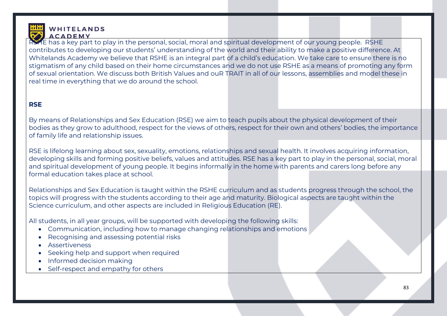RSHE has a key part to play in the personal, social, moral and spiritual development of our young people. RSHE contributes to developing our students' understanding of the world and their ability to make a positive difference. At Whitelands Academy we believe that RSHE is an integral part of a child's education. We take care to ensure there is no stigmatism of any child based on their home circumstances and we do not use RSHE as a means of promoting any form of sexual orientation. We discuss both British Values and ouR TRAIT in all of our lessons, assemblies and model these in real time in everything that we do around the school.

# **RSE**

By means of Relationships and Sex Education (RSE) we aim to teach pupils about the physical development of their bodies as they grow to adulthood, respect for the views of others, respect for their own and others' bodies, the importance of family life and relationship issues.

RSE is lifelong learning about sex, sexuality, emotions, relationships and sexual health. It involves acquiring information, developing skills and forming positive beliefs, values and attitudes. RSE has a key part to play in the personal, social, moral and spiritual development of young people. It begins informally in the home with parents and carers long before any formal education takes place at school.

Relationships and Sex Education is taught within the RSHE curriculum and as students progress through the school, the topics will progress with the students according to their age and maturity. Biological aspects are taught within the Science curriculum, and other aspects are included in Religious Education (RE).

All students, in all year groups, will be supported with developing the following skills:

- Communication, including how to manage changing relationships and emotions
- Recognising and assessing potential risks
- Assertiveness
- Seeking help and support when required
- Informed decision making
- Self-respect and empathy for others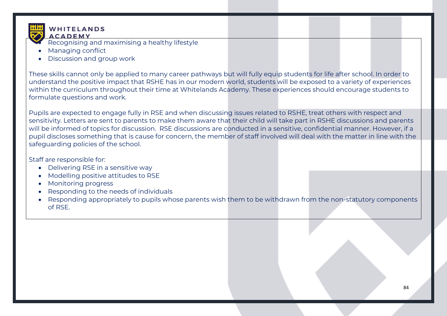

**Example 2** Recognising and maximising a healthy lifestyle

- Managing conflict
- Discussion and group work

These skills cannot only be applied to many career pathways but will fully equip students for life after school. In order to understand the positive impact that RSHE has in our modern world, students will be exposed to a variety of experiences within the curriculum throughout their time at Whitelands Academy. These experiences should encourage students to formulate questions and work.

Pupils are expected to engage fully in RSE and when discussing issues related to RSHE, treat others with respect and sensitivity. Letters are sent to parents to make them aware that their child will take part in RSHE discussions and parents will be informed of topics for discussion. RSE discussions are conducted in a sensitive, confidential manner. However, if a pupil discloses something that is cause for concern, the member of staff involved will deal with the matter in line with the safeguarding policies of the school.

Staff are responsible for:

- Delivering RSE in a sensitive way
- Modelling positive attitudes to RSE
- Monitoring progress
- Responding to the needs of individuals
- Responding appropriately to pupils whose parents wish them to be withdrawn from the non-statutory components of RSE.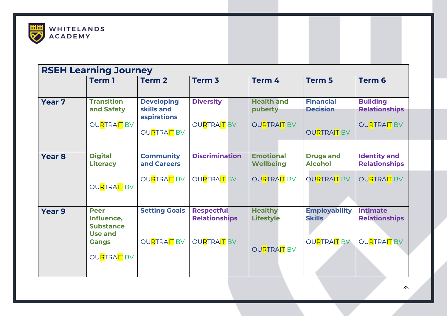

| <b>RSEH Learning Journey</b> |                                                                 |                                                |                                           |                                    |                                          |                                         |  |  |  |  |
|------------------------------|-----------------------------------------------------------------|------------------------------------------------|-------------------------------------------|------------------------------------|------------------------------------------|-----------------------------------------|--|--|--|--|
|                              | <b>Term 1</b>                                                   | <b>Term 2</b>                                  | Term <sub>3</sub>                         | Term 4                             | <b>Term 5</b>                            | <b>Term 6</b>                           |  |  |  |  |
| <b>Year 7</b>                | <b>Transition</b><br>and Safety                                 | <b>Developing</b><br>skills and<br>aspirations | <b>Diversity</b>                          | <b>Health and</b><br>puberty       | <b>Financial</b><br><b>Decision</b>      | <b>Building</b><br><b>Relationships</b> |  |  |  |  |
|                              | OU <mark>R</mark> TRA <mark>IT</mark> BV                        | <b>OURTRAIT BV</b>                             | <b>OURTRAIT BV</b>                        | <b>OURTRAIT BV</b>                 | <b>OURTRAIT BV</b>                       | <b>OURTRAIT BV</b>                      |  |  |  |  |
| <b>Year 8</b>                | <b>Digital</b>                                                  | <b>Community</b>                               | <b>Discrimination</b>                     | <b>Emotional</b>                   | <b>Drugs and</b>                         | <b>Identity and</b>                     |  |  |  |  |
|                              | <b>Literacy</b>                                                 | and Careers                                    |                                           | <b>Wellbeing</b>                   | <b>Alcohol</b>                           | <b>Relationships</b>                    |  |  |  |  |
|                              | <b>OU<mark>R</mark>TRA<mark>IT</mark></b> BV                    | <b>OURTRAIT BV</b>                             | <b>OURTRAIT BV</b>                        | <b>OURTRAIT BV</b>                 | <b>OURTRAIT BV</b>                       | <b>OURTRAIT BV</b>                      |  |  |  |  |
| <b>Year 9</b>                | <b>Peer</b><br>Influence,<br><b>Substance</b><br><b>Use and</b> | <b>Setting Goals</b>                           | <b>Respectful</b><br><b>Relationships</b> | <b>Healthy</b><br><b>Lifestyle</b> | <b>Employability</b><br><b>Skills</b>    | <b>Intimate</b><br><b>Relationships</b> |  |  |  |  |
|                              | <b>Gangs</b><br><b>OU<mark>R</mark>TRA<mark>IT</mark> BV</b>    | <b>OURTRAIT BV</b>                             | <b>OURTRAIT BV</b>                        | <b>OURTRAIT BV</b>                 | OU <mark>R</mark> TRA <mark>IT</mark> BV | <b>OURTRAIT BV</b>                      |  |  |  |  |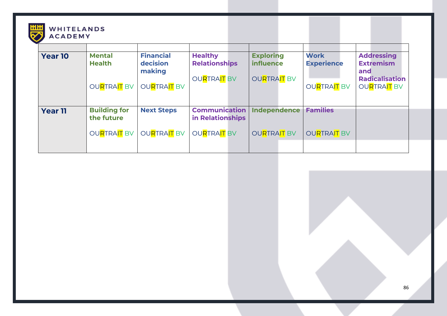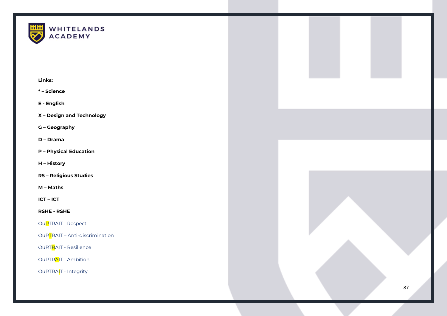

#### **Links:**

- **\* – Science**
- **E - English**
- **X – Design and Technology**
- **G – Geography**
- **D – Drama**
- **P – Physical Education**
- **H – History**
- **RS – Religious Studies**
- **M – Maths**
- **ICT – ICT**

#### **RSHE - RSHE**

- Ou<mark>R</mark>TRAIT Respect
- OuR<mark>T</mark>RAIT Anti-discrimination
- OuRT<mark>R</mark>AIT Resilience
- OuRTR<mark>A</mark>IT Ambition
- OuRTRA<mark>I</mark>T Integrity